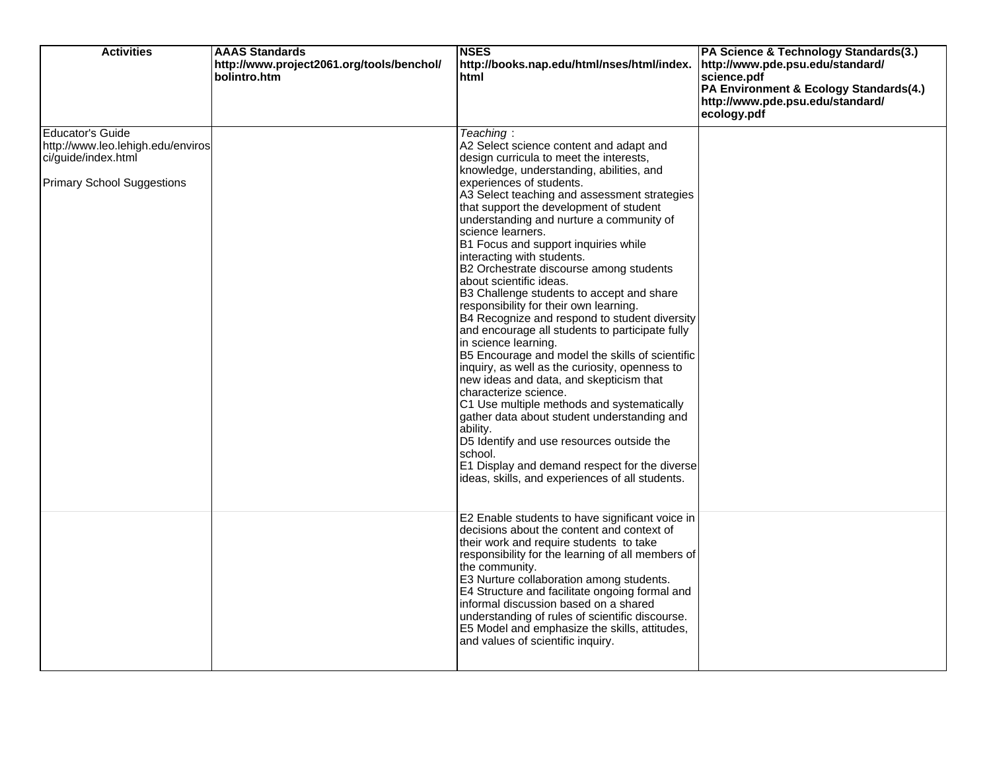| <b>Activities</b>                                                                                                        | <b>AAAS Standards</b><br>http://www.project2061.org/tools/benchol/<br>bolintro.htm | <b>NSES</b><br>http://books.nap.edu/html/nses/html/index.<br>html                                                                                                                                                                                                                                                                                                                                                                                                                                                                                                                                                                                                                                                                                                                                                                                                                                                                                                                                                                                                                                                                                | PA Science & Technology Standards(3.)<br>http://www.pde.psu.edu/standard/<br>science.pdf<br>PA Environment & Ecology Standards(4.)<br>http://www.pde.psu.edu/standard/<br>ecology.pdf |
|--------------------------------------------------------------------------------------------------------------------------|------------------------------------------------------------------------------------|--------------------------------------------------------------------------------------------------------------------------------------------------------------------------------------------------------------------------------------------------------------------------------------------------------------------------------------------------------------------------------------------------------------------------------------------------------------------------------------------------------------------------------------------------------------------------------------------------------------------------------------------------------------------------------------------------------------------------------------------------------------------------------------------------------------------------------------------------------------------------------------------------------------------------------------------------------------------------------------------------------------------------------------------------------------------------------------------------------------------------------------------------|---------------------------------------------------------------------------------------------------------------------------------------------------------------------------------------|
| <b>Educator's Guide</b><br>http://www.leo.lehigh.edu/enviros<br>ci/guide/index.html<br><b>Primary School Suggestions</b> |                                                                                    | Teaching:<br>A2 Select science content and adapt and<br>design curricula to meet the interests,<br>knowledge, understanding, abilities, and<br>experiences of students.<br>A3 Select teaching and assessment strategies<br>that support the development of student<br>understanding and nurture a community of<br>science learners.<br>B1 Focus and support inquiries while<br>interacting with students.<br>B2 Orchestrate discourse among students<br>about scientific ideas.<br>B3 Challenge students to accept and share<br>responsibility for their own learning.<br>B4 Recognize and respond to student diversity<br>and encourage all students to participate fully<br>in science learning.<br>B5 Encourage and model the skills of scientific<br>inquiry, as well as the curiosity, openness to<br>new ideas and data, and skepticism that<br>characterize science.<br>C1 Use multiple methods and systematically<br>gather data about student understanding and<br>ability.<br>D5 Identify and use resources outside the<br>school.<br>E1 Display and demand respect for the diverse<br>ideas, skills, and experiences of all students. |                                                                                                                                                                                       |
|                                                                                                                          |                                                                                    | E2 Enable students to have significant voice in<br>decisions about the content and context of<br>their work and require students to take<br>responsibility for the learning of all members of<br>the community.<br>E3 Nurture collaboration among students.<br>E4 Structure and facilitate ongoing formal and<br>informal discussion based on a shared<br>understanding of rules of scientific discourse.<br>E5 Model and emphasize the skills, attitudes,<br>and values of scientific inquiry.                                                                                                                                                                                                                                                                                                                                                                                                                                                                                                                                                                                                                                                  |                                                                                                                                                                                       |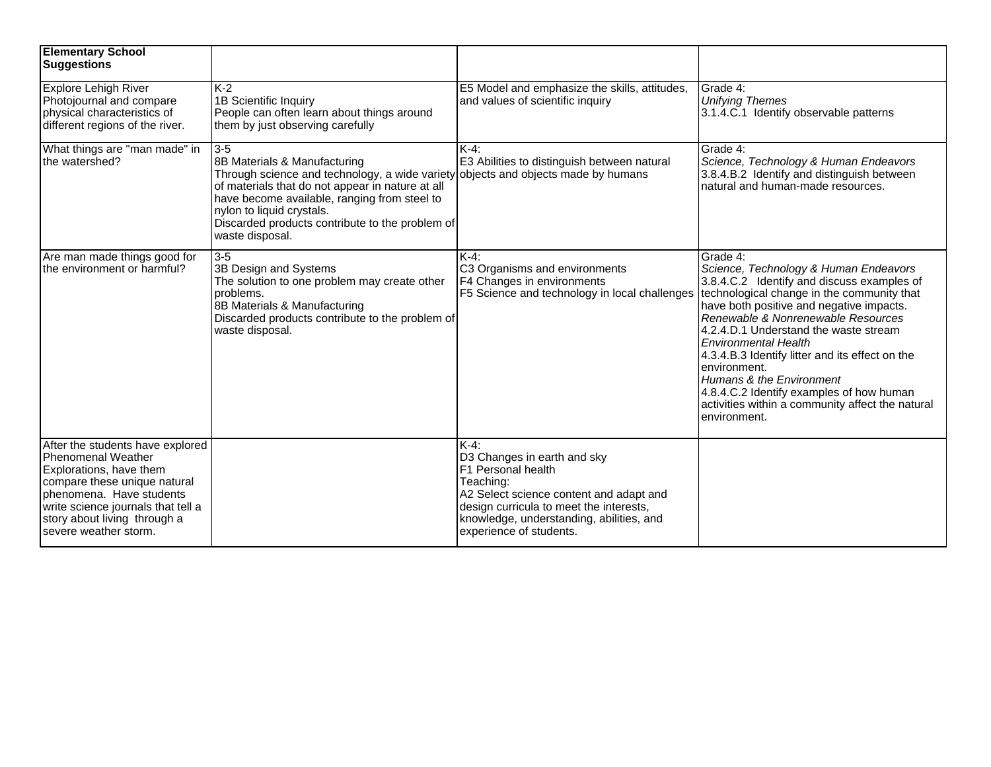| <b>Elementary School</b><br><b>Suggestions</b>                                                                                                                                                                                                      |                                                                                                                                                                                                                                                                                                                                     |                                                                                                                                                                                                                                     |                                                                                                                                                                                                                                                                                                                                                                                                                                                                                                                        |
|-----------------------------------------------------------------------------------------------------------------------------------------------------------------------------------------------------------------------------------------------------|-------------------------------------------------------------------------------------------------------------------------------------------------------------------------------------------------------------------------------------------------------------------------------------------------------------------------------------|-------------------------------------------------------------------------------------------------------------------------------------------------------------------------------------------------------------------------------------|------------------------------------------------------------------------------------------------------------------------------------------------------------------------------------------------------------------------------------------------------------------------------------------------------------------------------------------------------------------------------------------------------------------------------------------------------------------------------------------------------------------------|
| <b>Explore Lehigh River</b><br>Photojournal and compare<br>physical characteristics of<br>different regions of the river.                                                                                                                           | IK-2<br>1B Scientific Inquiry<br>People can often learn about things around<br>them by just observing carefully                                                                                                                                                                                                                     | E5 Model and emphasize the skills, attitudes,<br>and values of scientific inquiry                                                                                                                                                   | Grade 4:<br><b>Unifying Themes</b><br>3.1.4.C.1 Identify observable patterns                                                                                                                                                                                                                                                                                                                                                                                                                                           |
| What things are "man made" in<br>the watershed?                                                                                                                                                                                                     | $3 - 5$<br>8B Materials & Manufacturing<br>Through science and technology, a wide variety objects and objects made by humans<br>of materials that do not appear in nature at all<br>have become available, ranging from steel to<br>nylon to liquid crystals.<br>Discarded products contribute to the problem of<br>waste disposal. | K-4:<br>E3 Abilities to distinguish between natural                                                                                                                                                                                 | Grade 4:<br>Science, Technology & Human Endeavors<br>3.8.4.B.2 Identify and distinguish between<br>natural and human-made resources.                                                                                                                                                                                                                                                                                                                                                                                   |
| Are man made things good for<br>the environment or harmful?                                                                                                                                                                                         | $3-5$<br>3B Design and Systems<br>The solution to one problem may create other<br>problems.<br>8B Materials & Manufacturing<br>Discarded products contribute to the problem of<br>waste disposal.                                                                                                                                   | K-4:<br>C3 Organisms and environments<br>F4 Changes in environments<br>F5 Science and technology in local challenges                                                                                                                | Grade 4:<br>Science, Technology & Human Endeavors<br>3.8.4.C.2 Identify and discuss examples of<br>technological change in the community that<br>have both positive and negative impacts.<br>Renewable & Nonrenewable Resources<br>4.2.4.D.1 Understand the waste stream<br><b>Environmental Health</b><br>4.3.4.B.3 Identify litter and its effect on the<br>environment.<br>Humans & the Environment<br>4.8.4.C.2 Identify examples of how human<br>activities within a community affect the natural<br>environment. |
| After the students have explored<br><b>Phenomenal Weather</b><br>Explorations, have them<br>compare these unique natural<br>phenomena. Have students<br>write science journals that tell a<br>story about living through a<br>severe weather storm. |                                                                                                                                                                                                                                                                                                                                     | K-4:<br>D3 Changes in earth and sky<br>F1 Personal health<br>Teaching:<br>A2 Select science content and adapt and<br>design curricula to meet the interests,<br>knowledge, understanding, abilities, and<br>experience of students. |                                                                                                                                                                                                                                                                                                                                                                                                                                                                                                                        |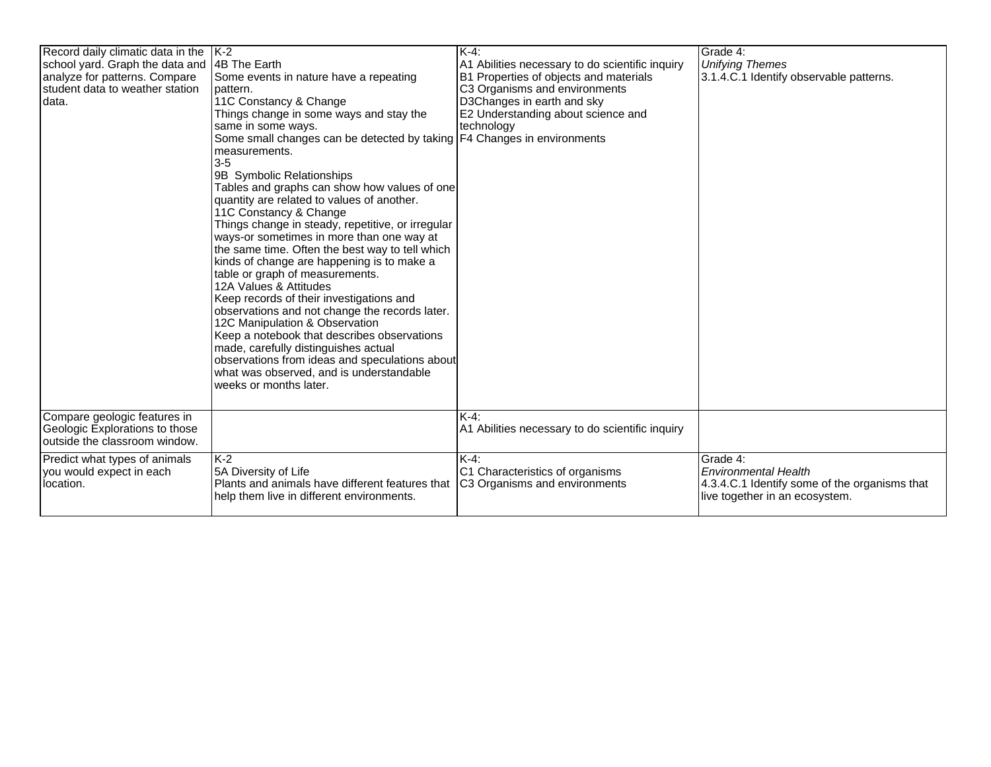| Record daily climatic data in the  K-2<br>school yard. Graph the data and<br>analyze for patterns. Compare<br>student data to weather station<br>data. | 4B The Earth<br>Some events in nature have a repeating<br>pattern.<br>11C Constancy & Change<br>Things change in some ways and stay the                                                                                                                                                                                                                                                                                                                                                                                                                                                                                                                                                                                                                                                                                                                                                       | K-4:<br>A1 Abilities necessary to do scientific inquiry<br>B1 Properties of objects and materials<br>C3 Organisms and environments<br>D3Changes in earth and sky<br>E2 Understanding about science and | Grade 4:<br><b>Unifying Themes</b><br>3.1.4.C.1 Identify observable patterns.                                              |
|--------------------------------------------------------------------------------------------------------------------------------------------------------|-----------------------------------------------------------------------------------------------------------------------------------------------------------------------------------------------------------------------------------------------------------------------------------------------------------------------------------------------------------------------------------------------------------------------------------------------------------------------------------------------------------------------------------------------------------------------------------------------------------------------------------------------------------------------------------------------------------------------------------------------------------------------------------------------------------------------------------------------------------------------------------------------|--------------------------------------------------------------------------------------------------------------------------------------------------------------------------------------------------------|----------------------------------------------------------------------------------------------------------------------------|
|                                                                                                                                                        | same in some ways.<br>Some small changes can be detected by taking   F4 Changes in environments<br>measurements.<br>$3-5$<br>9B Symbolic Relationships<br>Tables and graphs can show how values of one<br>quantity are related to values of another.<br>11C Constancy & Change<br>Things change in steady, repetitive, or irregular<br>ways-or sometimes in more than one way at<br>the same time. Often the best way to tell which<br>kinds of change are happening is to make a<br>table or graph of measurements.<br>12A Values & Attitudes<br>Keep records of their investigations and<br>observations and not change the records later.<br>12C Manipulation & Observation<br>Keep a notebook that describes observations<br>made, carefully distinguishes actual<br>observations from ideas and speculations about<br>what was observed, and is understandable<br>weeks or months later. | technology                                                                                                                                                                                             |                                                                                                                            |
| Compare geologic features in<br>Geologic Explorations to those<br>outside the classroom window.                                                        |                                                                                                                                                                                                                                                                                                                                                                                                                                                                                                                                                                                                                                                                                                                                                                                                                                                                                               | $K-4$ :<br>A1 Abilities necessary to do scientific inquiry                                                                                                                                             |                                                                                                                            |
| Predict what types of animals<br>you would expect in each<br>location.                                                                                 | $K-2$<br>5A Diversity of Life<br>Plants and animals have different features that<br>help them live in different environments.                                                                                                                                                                                                                                                                                                                                                                                                                                                                                                                                                                                                                                                                                                                                                                 | $K-4$ :<br>C1 Characteristics of organisms<br>C3 Organisms and environments                                                                                                                            | Grade 4:<br><b>Environmental Health</b><br>4.3.4.C.1 Identify some of the organisms that<br>live together in an ecosystem. |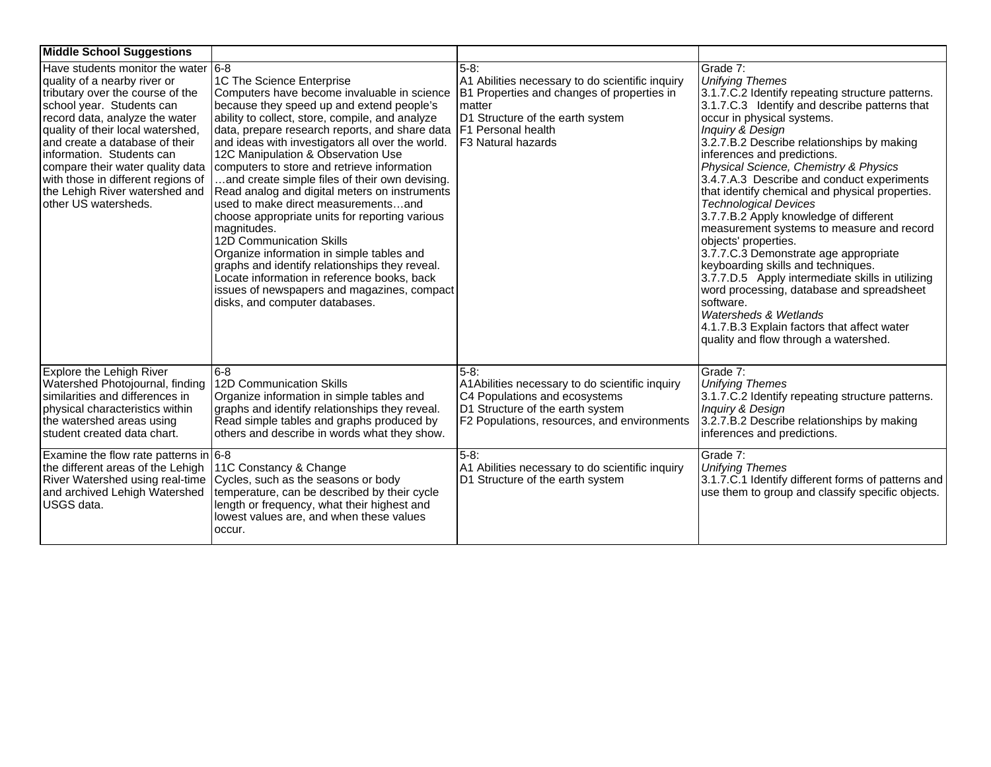| <b>Middle School Suggestions</b>                                                                                                                                                                                                                                                                                                                                                                                    |                                                                                                                                                                                                                                                                                                                                                                                                                                                                                                                                                                                                                                                                                                                                                                                                                                                 |                                                                                                                                                                                                        |                                                                                                                                                                                                                                                                                                                                                                                                                                                                                                                                                                                                                                                                                                                                                                                                                                                                               |
|---------------------------------------------------------------------------------------------------------------------------------------------------------------------------------------------------------------------------------------------------------------------------------------------------------------------------------------------------------------------------------------------------------------------|-------------------------------------------------------------------------------------------------------------------------------------------------------------------------------------------------------------------------------------------------------------------------------------------------------------------------------------------------------------------------------------------------------------------------------------------------------------------------------------------------------------------------------------------------------------------------------------------------------------------------------------------------------------------------------------------------------------------------------------------------------------------------------------------------------------------------------------------------|--------------------------------------------------------------------------------------------------------------------------------------------------------------------------------------------------------|-------------------------------------------------------------------------------------------------------------------------------------------------------------------------------------------------------------------------------------------------------------------------------------------------------------------------------------------------------------------------------------------------------------------------------------------------------------------------------------------------------------------------------------------------------------------------------------------------------------------------------------------------------------------------------------------------------------------------------------------------------------------------------------------------------------------------------------------------------------------------------|
| Have students monitor the water $ 6-8 $<br>quality of a nearby river or<br>tributary over the course of the<br>school year. Students can<br>record data, analyze the water<br>quality of their local watershed,<br>and create a database of their<br>linformation. Students can<br>compare their water quality data<br>with those in different regions of<br>the Lehigh River watershed and<br>other US watersheds. | 1C The Science Enterprise<br>Computers have become invaluable in science<br>because they speed up and extend people's<br>ability to collect, store, compile, and analyze<br>data, prepare research reports, and share data<br>and ideas with investigators all over the world.<br>12C Manipulation & Observation Use<br>computers to store and retrieve information<br>and create simple files of their own devising.<br>Read analog and digital meters on instruments<br>used to make direct measurementsand<br>choose appropriate units for reporting various<br>magnitudes.<br><b>12D Communication Skills</b><br>Organize information in simple tables and<br>graphs and identify relationships they reveal.<br>ocate information in reference books, back<br>issues of newspapers and magazines, compact<br>disks, and computer databases. | 5-8:<br>A1 Abilities necessary to do scientific inquiry<br>B1 Properties and changes of properties in<br>matter<br>D1 Structure of the earth system<br><b>F1 Personal health</b><br>F3 Natural hazards | Grade 7:<br><b>Unifying Themes</b><br>3.1.7.C.2 Identify repeating structure patterns.<br>3.1.7.C.3 Identify and describe patterns that<br>occur in physical systems.<br>Inquiry & Design<br>3.2.7.B.2 Describe relationships by making<br>inferences and predictions.<br>Physical Science, Chemistry & Physics<br>3.4.7.A.3 Describe and conduct experiments<br>that identify chemical and physical properties.<br><b>Technological Devices</b><br>3.7.7.B.2 Apply knowledge of different<br>measurement systems to measure and record<br>objects' properties.<br>3.7.7.C.3 Demonstrate age appropriate<br>keyboarding skills and techniques.<br>3.7.7.D.5 Apply intermediate skills in utilizing<br>word processing, database and spreadsheet<br>software.<br>Watersheds & Wetlands<br>4.1.7.B.3 Explain factors that affect water<br>quality and flow through a watershed. |
| Explore the Lehigh River<br>Watershed Photojournal, finding<br>similarities and differences in<br>physical characteristics within<br>the watershed areas using<br>student created data chart.                                                                                                                                                                                                                       | 6-8<br>12D Communication Skills<br>Organize information in simple tables and<br>graphs and identify relationships they reveal.<br>Read simple tables and graphs produced by<br>others and describe in words what they show.                                                                                                                                                                                                                                                                                                                                                                                                                                                                                                                                                                                                                     | 5-8:<br>A1Abilities necessary to do scientific inquiry<br>C4 Populations and ecosystems<br>D1 Structure of the earth system<br>F2 Populations, resources, and environments                             | Grade 7:<br><b>Unifying Themes</b><br>3.1.7.C.2 Identify repeating structure patterns.<br>Inquiry & Design<br>3.2.7.B.2 Describe relationships by making<br>inferences and predictions.                                                                                                                                                                                                                                                                                                                                                                                                                                                                                                                                                                                                                                                                                       |
| Examine the flow rate patterns in $6-8$<br>the different areas of the Lehigh<br><b>River Watershed using real-time</b><br>and archived Lehigh Watershed<br>USGS data.                                                                                                                                                                                                                                               | 11C Constancy & Change<br>Cycles, such as the seasons or body<br>temperature, can be described by their cycle<br>length or frequency, what their highest and<br>lowest values are, and when these values<br>occur.                                                                                                                                                                                                                                                                                                                                                                                                                                                                                                                                                                                                                              | $5-8$ :<br>A1 Abilities necessary to do scientific inquiry<br>D1 Structure of the earth system                                                                                                         | Grade 7:<br><b>Unifying Themes</b><br>3.1.7.C.1 Identify different forms of patterns and<br>use them to group and classify specific objects.                                                                                                                                                                                                                                                                                                                                                                                                                                                                                                                                                                                                                                                                                                                                  |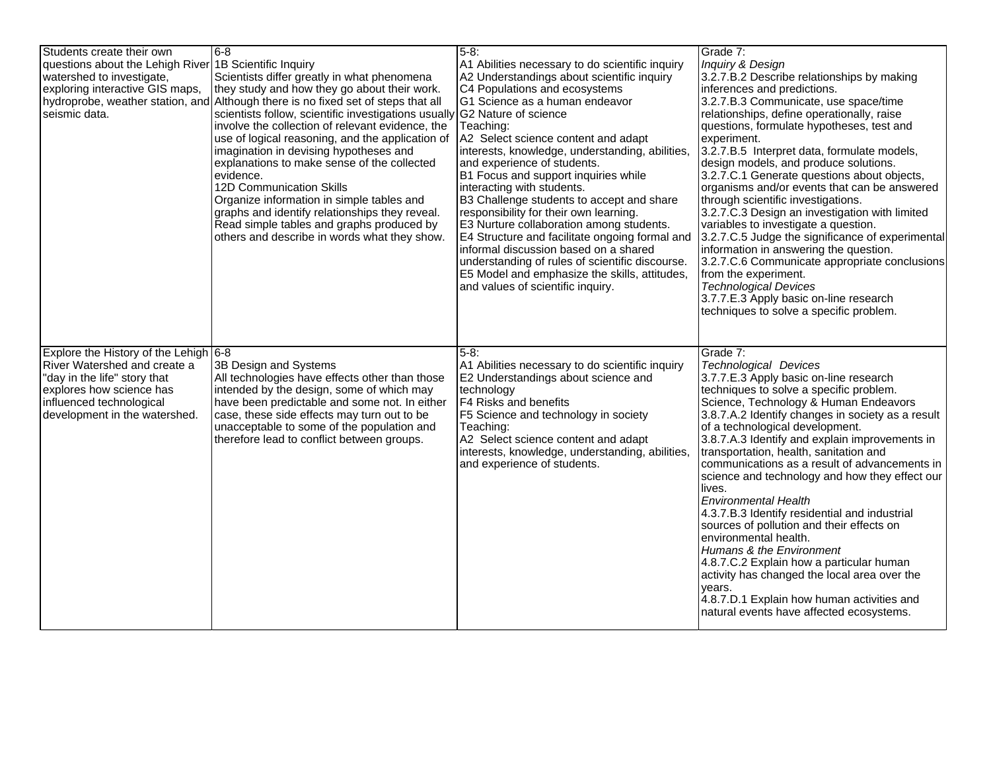| Students create their own<br>questions about the Lehigh River 1B Scientific Inquiry<br>watershed to investigate.<br>exploring interactive GIS maps,<br>seismic data.                                  | 8-6<br>Scientists differ greatly in what phenomena<br>they study and how they go about their work.<br>hydroprobe, weather station, and Although there is no fixed set of steps that all<br>scientists follow, scientific investigations usually G2 Nature of science<br>involve the collection of relevant evidence, the<br>use of logical reasoning, and the application of<br>imagination in devising hypotheses and<br>explanations to make sense of the collected<br>levidence.<br><b>12D Communication Skills</b><br>Organize information in simple tables and<br>graphs and identify relationships they reveal.<br>Read simple tables and graphs produced by<br>others and describe in words what they show. | 5-8:<br>A1 Abilities necessary to do scientific inquiry<br>A2 Understandings about scientific inquiry<br>C4 Populations and ecosystems<br>G1 Science as a human endeavor<br>Teaching:<br>A2 Select science content and adapt<br>interests, knowledge, understanding, abilities,<br>and experience of students.<br>B1 Focus and support inquiries while<br>interacting with students.<br>B3 Challenge students to accept and share<br>responsibility for their own learning.<br>E3 Nurture collaboration among students.<br>E4 Structure and facilitate ongoing formal and<br>informal discussion based on a shared<br>understanding of rules of scientific discourse.<br>E5 Model and emphasize the skills, attitudes,<br>and values of scientific inquiry. | Grade 7:<br>Inquiry & Design<br>3.2.7.B.2 Describe relationships by making<br>inferences and predictions.<br>3.2.7.B.3 Communicate, use space/time<br>relationships, define operationally, raise<br>questions, formulate hypotheses, test and<br>experiment.<br>3.2.7.B.5 Interpret data, formulate models,<br>design models, and produce solutions.<br>3.2.7.C.1 Generate questions about objects,<br>organisms and/or events that can be answered<br>through scientific investigations.<br>3.2.7.C.3 Design an investigation with limited<br>variables to investigate a question.<br>3.2.7.C.5 Judge the significance of experimental<br>information in answering the question.<br>3.2.7.C.6 Communicate appropriate conclusions<br>from the experiment.<br><b>Technological Devices</b><br>3.7.7.E.3 Apply basic on-line research<br>techniques to solve a specific problem. |
|-------------------------------------------------------------------------------------------------------------------------------------------------------------------------------------------------------|--------------------------------------------------------------------------------------------------------------------------------------------------------------------------------------------------------------------------------------------------------------------------------------------------------------------------------------------------------------------------------------------------------------------------------------------------------------------------------------------------------------------------------------------------------------------------------------------------------------------------------------------------------------------------------------------------------------------|-------------------------------------------------------------------------------------------------------------------------------------------------------------------------------------------------------------------------------------------------------------------------------------------------------------------------------------------------------------------------------------------------------------------------------------------------------------------------------------------------------------------------------------------------------------------------------------------------------------------------------------------------------------------------------------------------------------------------------------------------------------|---------------------------------------------------------------------------------------------------------------------------------------------------------------------------------------------------------------------------------------------------------------------------------------------------------------------------------------------------------------------------------------------------------------------------------------------------------------------------------------------------------------------------------------------------------------------------------------------------------------------------------------------------------------------------------------------------------------------------------------------------------------------------------------------------------------------------------------------------------------------------------|
| Explore the History of the Lehigh 6-8<br><b>River Watershed and create a</b><br>"day in the life" story that<br>explores how science has<br>influenced technological<br>development in the watershed. | 3B Design and Systems<br>All technologies have effects other than those<br>intended by the design, some of which may<br>have been predictable and some not. In either<br>case, these side effects may turn out to be<br>unacceptable to some of the population and<br>therefore lead to conflict between groups.                                                                                                                                                                                                                                                                                                                                                                                                   | $5-8:$<br>A1 Abilities necessary to do scientific inquiry<br>E2 Understandings about science and<br>technology<br><b>F4 Risks and benefits</b><br>F5 Science and technology in society<br>Teaching:<br>A2 Select science content and adapt<br>interests, knowledge, understanding, abilities,<br>and experience of students.                                                                                                                                                                                                                                                                                                                                                                                                                                | Grade 7:<br><b>Technological Devices</b><br>3.7.7.E.3 Apply basic on-line research<br>techniques to solve a specific problem.<br>Science, Technology & Human Endeavors<br>3.8.7.A.2 Identify changes in society as a result<br>of a technological development.<br>3.8.7.A.3 Identify and explain improvements in<br>transportation, health, sanitation and<br>communications as a result of advancements in<br>science and technology and how they effect our<br>lives.<br><b>Environmental Health</b><br>4.3.7.B.3 Identify residential and industrial<br>sources of pollution and their effects on<br>environmental health.<br>Humans & the Environment<br>4.8.7.C.2 Explain how a particular human<br>activity has changed the local area over the<br>years.<br>4.8.7.D.1 Explain how human activities and<br>natural events have affected ecosystems.                       |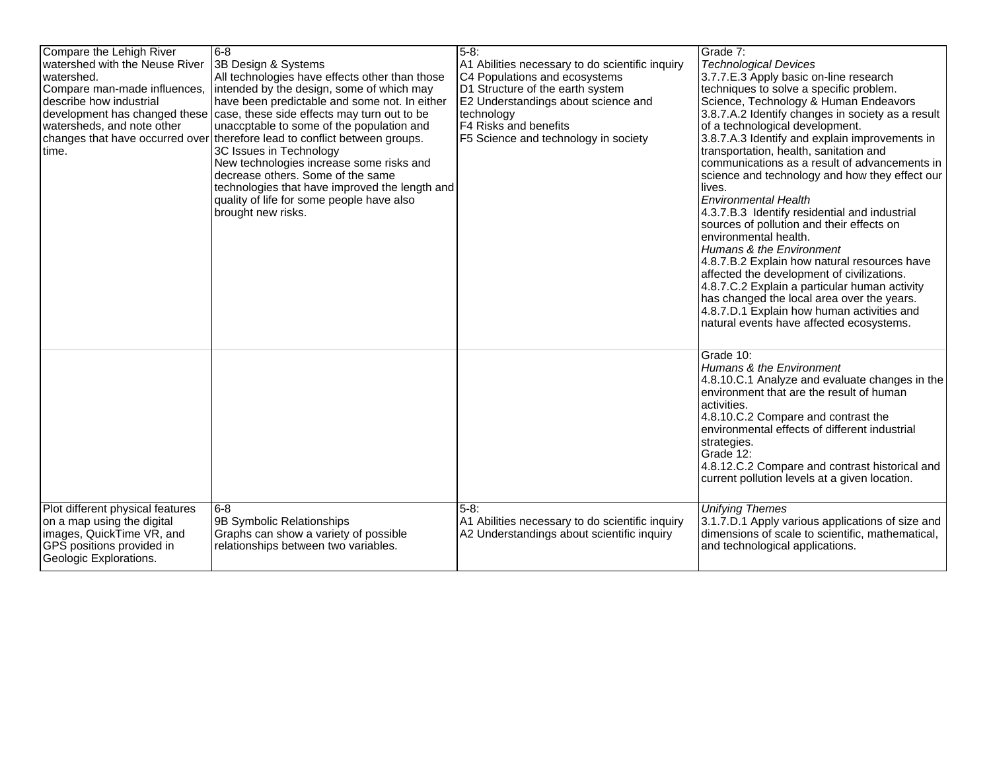| Compare the Lehigh River<br>watershed with the Neuse River<br>watershed.<br>Compare man-made influences,<br>describe how industrial<br>watersheds, and note other<br>changes that have occurred over<br>time. | 8-6<br>3B Design & Systems<br>All technologies have effects other than those<br>intended by the design, some of which may<br>have been predictable and some not. In either<br>development has changed these case, these side effects may turn out to be<br>unaccptable to some of the population and<br>therefore lead to conflict between groups.<br>3C Issues in Technology<br>New technologies increase some risks and<br>decrease others. Some of the same<br>technologies that have improved the length and<br>quality of life for some people have also<br>brought new risks. | $5-8$ :<br>A1 Abilities necessary to do scientific inquiry<br>C4 Populations and ecosystems<br>D1 Structure of the earth system<br>E2 Understandings about science and<br>technology<br>F4 Risks and benefits<br>F5 Science and technology in society | Grade 7:<br><b>Technological Devices</b><br>3.7.7.E.3 Apply basic on-line research<br>techniques to solve a specific problem.<br>Science, Technology & Human Endeavors<br>3.8.7.A.2 Identify changes in society as a result<br>of a technological development.<br>3.8.7.A.3 Identify and explain improvements in<br>transportation, health, sanitation and<br>communications as a result of advancements in<br>science and technology and how they effect our<br>lives.<br><b>Environmental Health</b><br>4.3.7.B.3 Identify residential and industrial<br>sources of pollution and their effects on<br>environmental health.<br>Humans & the Environment<br>4.8.7.B.2 Explain how natural resources have<br>affected the development of civilizations.<br>4.8.7.C.2 Explain a particular human activity<br>has changed the local area over the years.<br>4.8.7.D.1 Explain how human activities and<br>natural events have affected ecosystems. |
|---------------------------------------------------------------------------------------------------------------------------------------------------------------------------------------------------------------|-------------------------------------------------------------------------------------------------------------------------------------------------------------------------------------------------------------------------------------------------------------------------------------------------------------------------------------------------------------------------------------------------------------------------------------------------------------------------------------------------------------------------------------------------------------------------------------|-------------------------------------------------------------------------------------------------------------------------------------------------------------------------------------------------------------------------------------------------------|--------------------------------------------------------------------------------------------------------------------------------------------------------------------------------------------------------------------------------------------------------------------------------------------------------------------------------------------------------------------------------------------------------------------------------------------------------------------------------------------------------------------------------------------------------------------------------------------------------------------------------------------------------------------------------------------------------------------------------------------------------------------------------------------------------------------------------------------------------------------------------------------------------------------------------------------------|
| Plot different physical features<br>on a map using the digital<br>images, QuickTime VR, and<br>GPS positions provided in<br>Geologic Explorations.                                                            | 8-6<br>9B Symbolic Relationships<br>Graphs can show a variety of possible<br>relationships between two variables.                                                                                                                                                                                                                                                                                                                                                                                                                                                                   | $5-8:$<br>A1 Abilities necessary to do scientific inquiry<br>A2 Understandings about scientific inquiry                                                                                                                                               | Grade 10:<br>Humans & the Environment<br>4.8.10.C.1 Analyze and evaluate changes in the<br>environment that are the result of human<br>activities.<br>4.8.10.C.2 Compare and contrast the<br>environmental effects of different industrial<br>strategies.<br>Grade 12:<br>4.8.12.C.2 Compare and contrast historical and<br>current pollution levels at a given location.<br><b>Unifying Themes</b><br>3.1.7.D.1 Apply various applications of size and<br>dimensions of scale to scientific, mathematical,<br>and technological applications.                                                                                                                                                                                                                                                                                                                                                                                                   |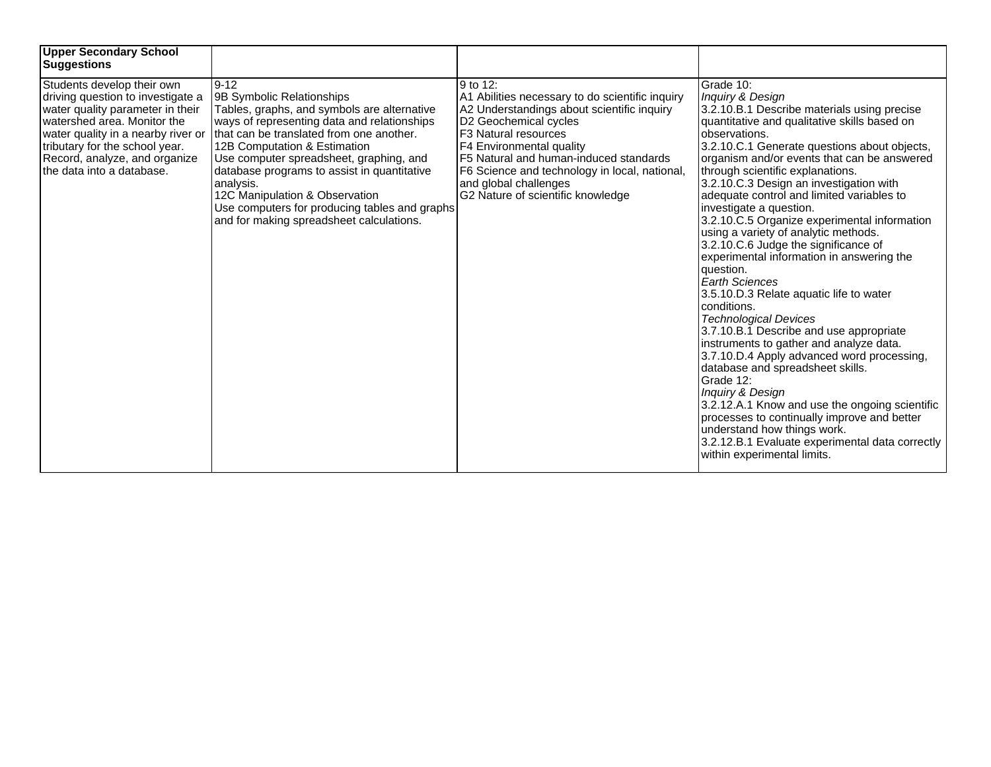| <b>Upper Secondary School</b><br>Suggestions                                                                                                                                                                                                                               |                                                                                                                                                                                                                                                                                                                                                                                                                                                       |                                                                                                                                                                                                                                                                                                                                                        |                                                                                                                                                                                                                                                                                                                                                                                                                                                                                                                                                                                                                                                                                                                                                                                                                                                                                                                                                                                                                                                                                                                                             |
|----------------------------------------------------------------------------------------------------------------------------------------------------------------------------------------------------------------------------------------------------------------------------|-------------------------------------------------------------------------------------------------------------------------------------------------------------------------------------------------------------------------------------------------------------------------------------------------------------------------------------------------------------------------------------------------------------------------------------------------------|--------------------------------------------------------------------------------------------------------------------------------------------------------------------------------------------------------------------------------------------------------------------------------------------------------------------------------------------------------|---------------------------------------------------------------------------------------------------------------------------------------------------------------------------------------------------------------------------------------------------------------------------------------------------------------------------------------------------------------------------------------------------------------------------------------------------------------------------------------------------------------------------------------------------------------------------------------------------------------------------------------------------------------------------------------------------------------------------------------------------------------------------------------------------------------------------------------------------------------------------------------------------------------------------------------------------------------------------------------------------------------------------------------------------------------------------------------------------------------------------------------------|
| Students develop their own<br>driving question to investigate a<br>water quality parameter in their<br>watershed area. Monitor the<br>water quality in a nearby river or<br>tributary for the school year.<br>Record, analyze, and organize<br>l the data into a database. | $9 - 12$<br>9B Symbolic Relationships<br>Tables, graphs, and symbols are alternative<br>ways of representing data and relationships<br>that can be translated from one another.<br>12B Computation & Estimation<br>Use computer spreadsheet, graphing, and<br>database programs to assist in quantitative<br>analysis.<br>12C Manipulation & Observation<br>Use computers for producing tables and graphs<br>and for making spreadsheet calculations. | 9 to 12:<br>A1 Abilities necessary to do scientific inquiry<br>A2 Understandings about scientific inquiry<br>D2 Geochemical cycles<br><b>F3 Natural resources</b><br>F4 Environmental quality<br>F5 Natural and human-induced standards<br>F6 Science and technology in local, national,<br>and global challenges<br>G2 Nature of scientific knowledge | Grade 10:<br>Inquiry & Design<br>3.2.10.B.1 Describe materials using precise<br>quantitative and qualitative skills based on<br>observations.<br>3.2.10.C.1 Generate questions about objects,<br>organism and/or events that can be answered<br>through scientific explanations.<br>3.2.10.C.3 Design an investigation with<br>adequate control and limited variables to<br>investigate a question.<br>3.2.10.C.5 Organize experimental information<br>using a variety of analytic methods.<br>3.2.10.C.6 Judge the significance of<br>experimental information in answering the<br>question.<br><b>Earth Sciences</b><br>3.5.10.D.3 Relate aquatic life to water<br>conditions.<br><b>Technological Devices</b><br>3.7.10.B.1 Describe and use appropriate<br>instruments to gather and analyze data.<br>3.7.10.D.4 Apply advanced word processing,<br>database and spreadsheet skills.<br>Grade 12:<br>Inquiry & Design<br>3.2.12.A.1 Know and use the ongoing scientific<br>processes to continually improve and better<br>understand how things work.<br>3.2.12.B.1 Evaluate experimental data correctly<br>within experimental limits. |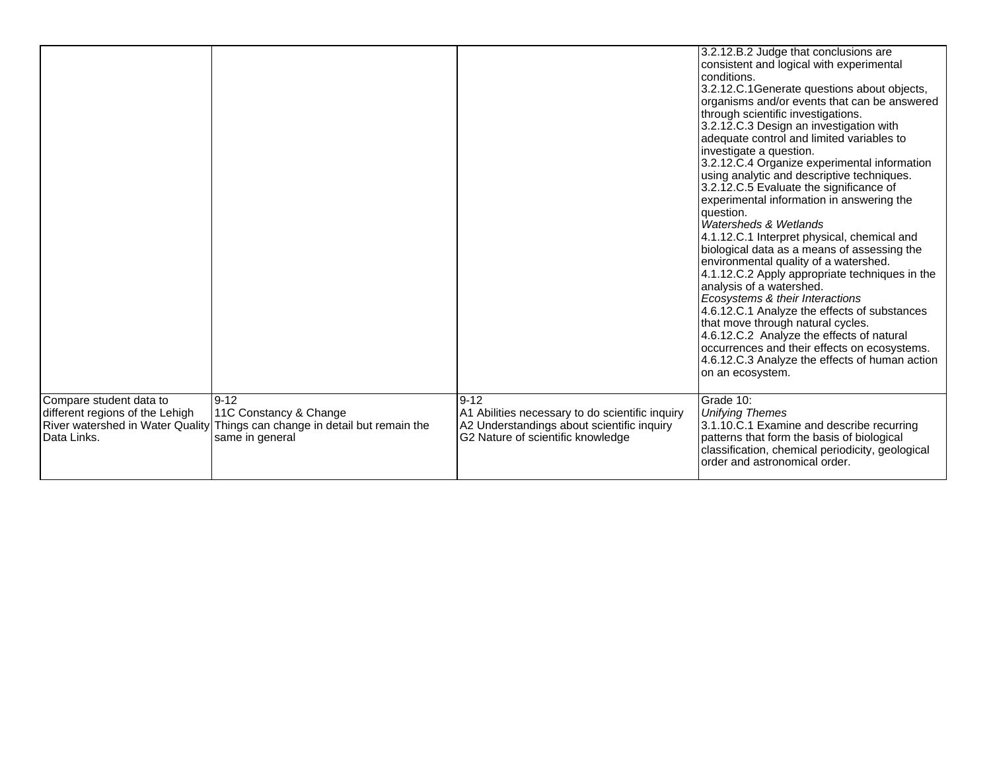|                                                                                                                      |                                                                                                 | $9 - 12$                                                                                                                           | 3.2.12.B.2 Judge that conclusions are<br>consistent and logical with experimental<br>conditions.<br>3.2.12.C.1Generate questions about objects,<br>organisms and/or events that can be answered<br>through scientific investigations.<br>3.2.12.C.3 Design an investigation with<br>adequate control and limited variables to<br>investigate a question.<br>3.2.12.C.4 Organize experimental information<br>using analytic and descriptive techniques.<br>3.2.12.C.5 Evaluate the significance of<br>experimental information in answering the<br>question.<br>Watersheds & Wetlands<br>4.1.12.C.1 Interpret physical, chemical and<br>biological data as a means of assessing the<br>environmental quality of a watershed.<br>4.1.12.C.2 Apply appropriate techniques in the<br>analysis of a watershed.<br>Ecosystems & their Interactions<br>4.6.12.C.1 Analyze the effects of substances<br>that move through natural cycles.<br>4.6.12.C.2 Analyze the effects of natural<br>occurrences and their effects on ecosystems.<br>4.6.12.C.3 Analyze the effects of human action<br>on an ecosystem. |
|----------------------------------------------------------------------------------------------------------------------|-------------------------------------------------------------------------------------------------|------------------------------------------------------------------------------------------------------------------------------------|------------------------------------------------------------------------------------------------------------------------------------------------------------------------------------------------------------------------------------------------------------------------------------------------------------------------------------------------------------------------------------------------------------------------------------------------------------------------------------------------------------------------------------------------------------------------------------------------------------------------------------------------------------------------------------------------------------------------------------------------------------------------------------------------------------------------------------------------------------------------------------------------------------------------------------------------------------------------------------------------------------------------------------------------------------------------------------------------------|
| Compare student data to<br>different regions of the Lehigh<br><b>River watershed in Water Quality</b><br>Data Links. | 9-12<br>11C Constancy & Change<br>Things can change in detail but remain the<br>same in general | A1 Abilities necessary to do scientific inquiry<br>A2 Understandings about scientific inquiry<br>G2 Nature of scientific knowledge | Grade 10:<br><b>Unifying Themes</b><br>3.1.10.C.1 Examine and describe recurring<br>patterns that form the basis of biological<br>classification, chemical periodicity, geological<br>order and astronomical order.                                                                                                                                                                                                                                                                                                                                                                                                                                                                                                                                                                                                                                                                                                                                                                                                                                                                                  |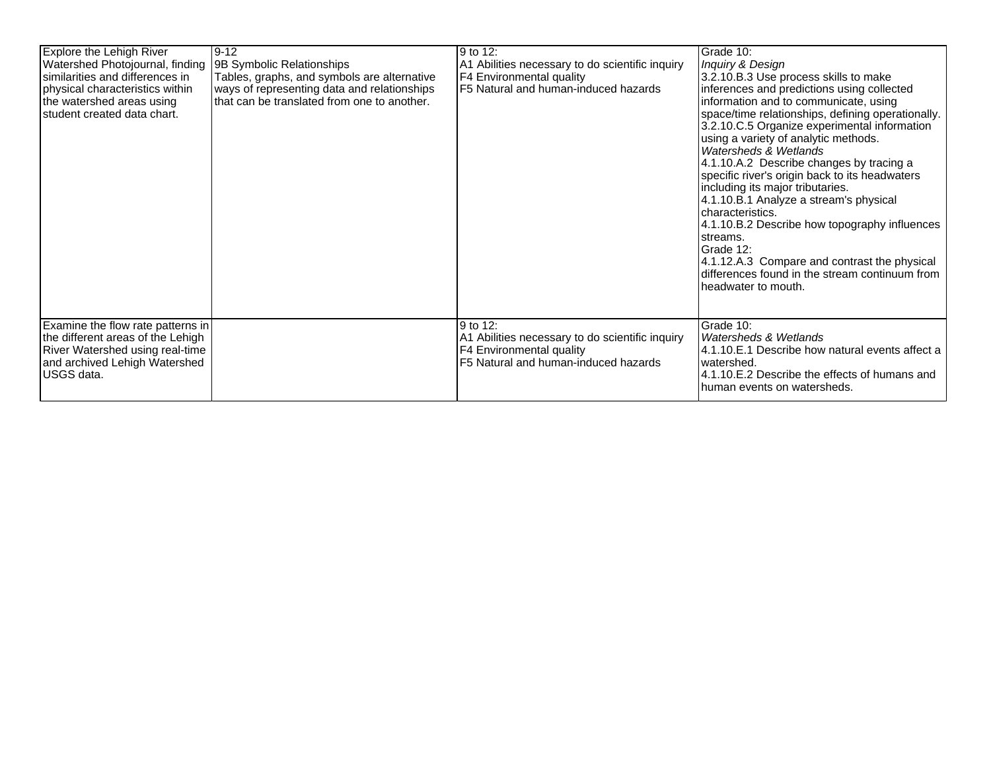| Explore the Lehigh River<br>Watershed Photojournal, finding<br>similarities and differences in<br>physical characteristics within<br>the watershed areas using<br>student created data chart. | 9-12<br>9B Symbolic Relationships<br>Tables, graphs, and symbols are alternative<br>ways of representing data and relationships<br>Ithat can be translated from one to another. | 9 to 12:<br>A1 Abilities necessary to do scientific inquiry<br>F4 Environmental quality<br>F5 Natural and human-induced hazards | Grade 10:<br>Inquiry & Design<br>3.2.10.B.3 Use process skills to make<br>inferences and predictions using collected<br>information and to communicate, using<br>space/time relationships, defining operationally.<br>3.2.10.C.5 Organize experimental information<br>using a variety of analytic methods.<br>Watersheds & Wetlands<br>4.1.10.A.2 Describe changes by tracing a<br>specific river's origin back to its headwaters<br>including its major tributaries.<br>4.1.10.B.1 Analyze a stream's physical<br>characteristics.<br>4.1.10.B.2 Describe how topography influences<br>streams.<br>Grade 12:<br>4.1.12.A.3 Compare and contrast the physical<br>differences found in the stream continuum from<br>headwater to mouth. |
|-----------------------------------------------------------------------------------------------------------------------------------------------------------------------------------------------|---------------------------------------------------------------------------------------------------------------------------------------------------------------------------------|---------------------------------------------------------------------------------------------------------------------------------|----------------------------------------------------------------------------------------------------------------------------------------------------------------------------------------------------------------------------------------------------------------------------------------------------------------------------------------------------------------------------------------------------------------------------------------------------------------------------------------------------------------------------------------------------------------------------------------------------------------------------------------------------------------------------------------------------------------------------------------|
| Examine the flow rate patterns in<br>the different areas of the Lehigh<br>River Watershed using real-time<br>and archived Lehigh Watershed<br>USGS data.                                      |                                                                                                                                                                                 | 9 to 12:<br>A1 Abilities necessary to do scientific inquiry<br>F4 Environmental quality<br>F5 Natural and human-induced hazards | Grade 10:<br>Watersheds & Wetlands<br>4.1.10.E.1 Describe how natural events affect a<br>watershed.<br>4.1.10. E. 2 Describe the effects of humans and<br>human events on watersheds.                                                                                                                                                                                                                                                                                                                                                                                                                                                                                                                                                  |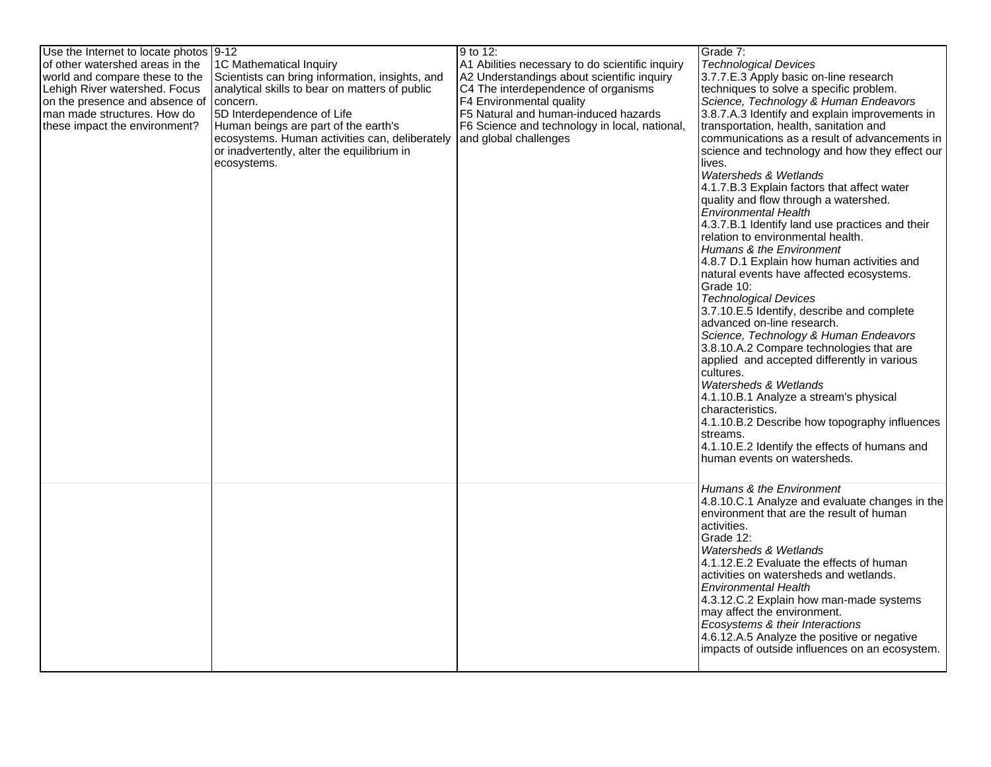| Use the Internet to locate photos  9-12 |                                                 | 9 to 12:                                        | Grade 7:                                              |
|-----------------------------------------|-------------------------------------------------|-------------------------------------------------|-------------------------------------------------------|
| of other watershed areas in the         | 1C Mathematical Inquiry                         | A1 Abilities necessary to do scientific inquiry | <b>Technological Devices</b>                          |
| world and compare these to the          | Scientists can bring information, insights, and | A2 Understandings about scientific inquiry      | 3.7.7.E.3 Apply basic on-line research                |
| Lehigh River watershed. Focus           | analytical skills to bear on matters of public  | C4 The interdependence of organisms             | techniques to solve a specific problem.               |
| on the presence and absence of          | concern.                                        | F4 Environmental quality                        | Science, Technology & Human Endeavors                 |
| man made structures. How do             | 5D Interdependence of Life                      | F5 Natural and human-induced hazards            | 3.8.7.A.3 Identify and explain improvements in        |
| these impact the environment?           | Human beings are part of the earth's            | F6 Science and technology in local, national,   | transportation, health, sanitation and                |
|                                         | ecosystems. Human activities can, deliberately  | and global challenges                           | communications as a result of advancements in         |
|                                         | or inadvertently, alter the equilibrium in      |                                                 | science and technology and how they effect our        |
|                                         | ecosystems.                                     |                                                 | lives.                                                |
|                                         |                                                 |                                                 | Watersheds & Wetlands                                 |
|                                         |                                                 |                                                 | 4.1.7.B.3 Explain factors that affect water           |
|                                         |                                                 |                                                 | quality and flow through a watershed.                 |
|                                         |                                                 |                                                 | <b>Environmental Health</b>                           |
|                                         |                                                 |                                                 | 4.3.7.B.1 Identify land use practices and their       |
|                                         |                                                 |                                                 | relation to environmental health.                     |
|                                         |                                                 |                                                 | Humans & the Environment                              |
|                                         |                                                 |                                                 | 4.8.7 D.1 Explain how human activities and            |
|                                         |                                                 |                                                 |                                                       |
|                                         |                                                 |                                                 | natural events have affected ecosystems.<br>Grade 10: |
|                                         |                                                 |                                                 | <b>Technological Devices</b>                          |
|                                         |                                                 |                                                 |                                                       |
|                                         |                                                 |                                                 | 3.7.10.E.5 Identify, describe and complete            |
|                                         |                                                 |                                                 | advanced on-line research.                            |
|                                         |                                                 |                                                 | Science, Technology & Human Endeavors                 |
|                                         |                                                 |                                                 | 3.8.10.A.2 Compare technologies that are              |
|                                         |                                                 |                                                 | applied and accepted differently in various           |
|                                         |                                                 |                                                 | cultures.                                             |
|                                         |                                                 |                                                 | Watersheds & Wetlands                                 |
|                                         |                                                 |                                                 | 4.1.10.B.1 Analyze a stream's physical                |
|                                         |                                                 |                                                 | characteristics.                                      |
|                                         |                                                 |                                                 | 4.1.10.B.2 Describe how topography influences         |
|                                         |                                                 |                                                 | streams.                                              |
|                                         |                                                 |                                                 | 4.1.10.E.2 Identify the effects of humans and         |
|                                         |                                                 |                                                 | human events on watersheds.                           |
|                                         |                                                 |                                                 |                                                       |
|                                         |                                                 |                                                 | Humans & the Environment                              |
|                                         |                                                 |                                                 | 4.8.10.C.1 Analyze and evaluate changes in the        |
|                                         |                                                 |                                                 | environment that are the result of human              |
|                                         |                                                 |                                                 | activities.                                           |
|                                         |                                                 |                                                 | Grade 12:                                             |
|                                         |                                                 |                                                 | Watersheds & Wetlands                                 |
|                                         |                                                 |                                                 | 4.1.12.E.2 Evaluate the effects of human              |
|                                         |                                                 |                                                 | activities on watersheds and wetlands.                |
|                                         |                                                 |                                                 | <b>Environmental Health</b>                           |
|                                         |                                                 |                                                 | 4.3.12.C.2 Explain how man-made systems               |
|                                         |                                                 |                                                 | may affect the environment.                           |
|                                         |                                                 |                                                 | Ecosystems & their Interactions                       |
|                                         |                                                 |                                                 | 4.6.12.A.5 Analyze the positive or negative           |
|                                         |                                                 |                                                 |                                                       |
|                                         |                                                 |                                                 | impacts of outside influences on an ecosystem.        |
|                                         |                                                 |                                                 |                                                       |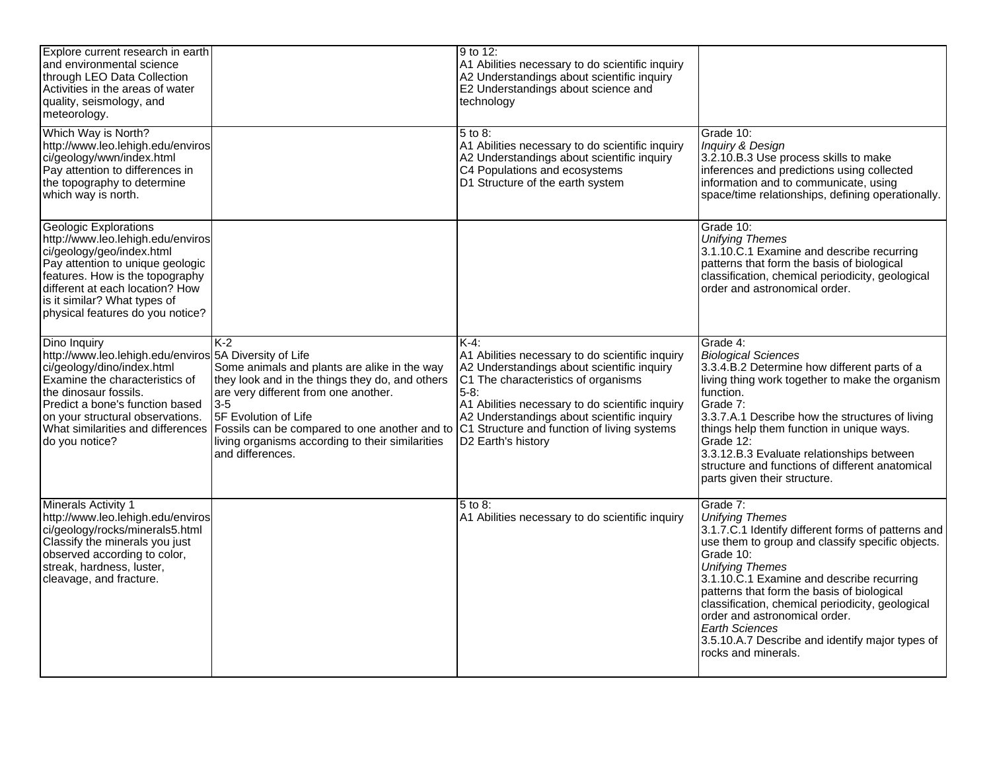| Explore current research in earth<br>and environmental science<br>through LEO Data Collection<br>Activities in the areas of water<br>quality, seismology, and<br>meteorology.                                                                                                                 |                                                                                                                                                                                                                                                                                                          | 9 to 12:<br>A1 Abilities necessary to do scientific inquiry<br>A2 Understandings about scientific inquiry<br>E2 Understandings about science and<br>technology                                                                                                                                                                     |                                                                                                                                                                                                                                                                                                                                                                                                                                                                        |
|-----------------------------------------------------------------------------------------------------------------------------------------------------------------------------------------------------------------------------------------------------------------------------------------------|----------------------------------------------------------------------------------------------------------------------------------------------------------------------------------------------------------------------------------------------------------------------------------------------------------|------------------------------------------------------------------------------------------------------------------------------------------------------------------------------------------------------------------------------------------------------------------------------------------------------------------------------------|------------------------------------------------------------------------------------------------------------------------------------------------------------------------------------------------------------------------------------------------------------------------------------------------------------------------------------------------------------------------------------------------------------------------------------------------------------------------|
| Which Way is North?<br>http://www.leo.lehigh.edu/enviros<br>ci/geology/wwn/index.html<br>Pay attention to differences in<br>the topography to determine<br>which way is north.                                                                                                                |                                                                                                                                                                                                                                                                                                          | 5 to 8:<br>A1 Abilities necessary to do scientific inquiry<br>A2 Understandings about scientific inquiry<br>C4 Populations and ecosystems<br>D1 Structure of the earth system                                                                                                                                                      | Grade 10:<br>Inquiry & Design<br>3.2.10.B.3 Use process skills to make<br>inferences and predictions using collected<br>information and to communicate, using<br>space/time relationships, defining operationally.                                                                                                                                                                                                                                                     |
| <b>Geologic Explorations</b><br>http://www.leo.lehigh.edu/enviros<br>ci/geology/geo/index.html<br>Pay attention to unique geologic<br>features. How is the topography<br>different at each location? How<br>is it similar? What types of<br>physical features do you notice?                  |                                                                                                                                                                                                                                                                                                          |                                                                                                                                                                                                                                                                                                                                    | Grade 10:<br><b>Unifying Themes</b><br>3.1.10.C.1 Examine and describe recurring<br>patterns that form the basis of biological<br>classification, chemical periodicity, geological<br>order and astronomical order.                                                                                                                                                                                                                                                    |
| Dino Inquiry<br>http://www.leo.lehigh.edu/enviros 5A Diversity of Life<br>ci/geology/dino/index.html<br>Examine the characteristics of<br>the dinosaur fossils.<br>Predict a bone's function based<br>on your structural observations.<br>What similarities and differences<br>do you notice? | K-2<br>Some animals and plants are alike in the way<br>they look and in the things they do, and others<br>are very different from one another.<br>$3-5$<br>5F Evolution of Life<br>Fossils can be compared to one another and to<br>living organisms according to their similarities<br>and differences. | $K-4$ :<br>A1 Abilities necessary to do scientific inquiry<br>A2 Understandings about scientific inquiry<br>C1 The characteristics of organisms<br>$5 - 8$ :<br>A1 Abilities necessary to do scientific inquiry<br>A2 Understandings about scientific inquiry<br>C1 Structure and function of living systems<br>D2 Earth's history | Grade 4:<br><b>Biological Sciences</b><br>3.3.4.B.2 Determine how different parts of a<br>living thing work together to make the organism<br>function.<br>Grade 7:<br>3.3.7.A.1 Describe how the structures of living<br>things help them function in unique ways.<br>Grade 12:<br>3.3.12.B.3 Evaluate relationships between<br>structure and functions of different anatomical<br>parts given their structure.                                                        |
| Minerals Activity 1<br>http://www.leo.lehigh.edu/enviros<br>ci/geology/rocks/minerals5.html<br>Classify the minerals you just<br>observed according to color,<br>streak, hardness, luster,<br>cleavage, and fracture.                                                                         |                                                                                                                                                                                                                                                                                                          | 5 to 8:<br>A1 Abilities necessary to do scientific inquiry                                                                                                                                                                                                                                                                         | Grade 7:<br><b>Unifying Themes</b><br>3.1.7.C.1 Identify different forms of patterns and<br>use them to group and classify specific objects.<br>Grade 10:<br><b>Unifying Themes</b><br>3.1.10.C.1 Examine and describe recurring<br>patterns that form the basis of biological<br>classification, chemical periodicity, geological<br>order and astronomical order.<br><b>Earth Sciences</b><br>3.5.10.A.7 Describe and identify major types of<br>rocks and minerals. |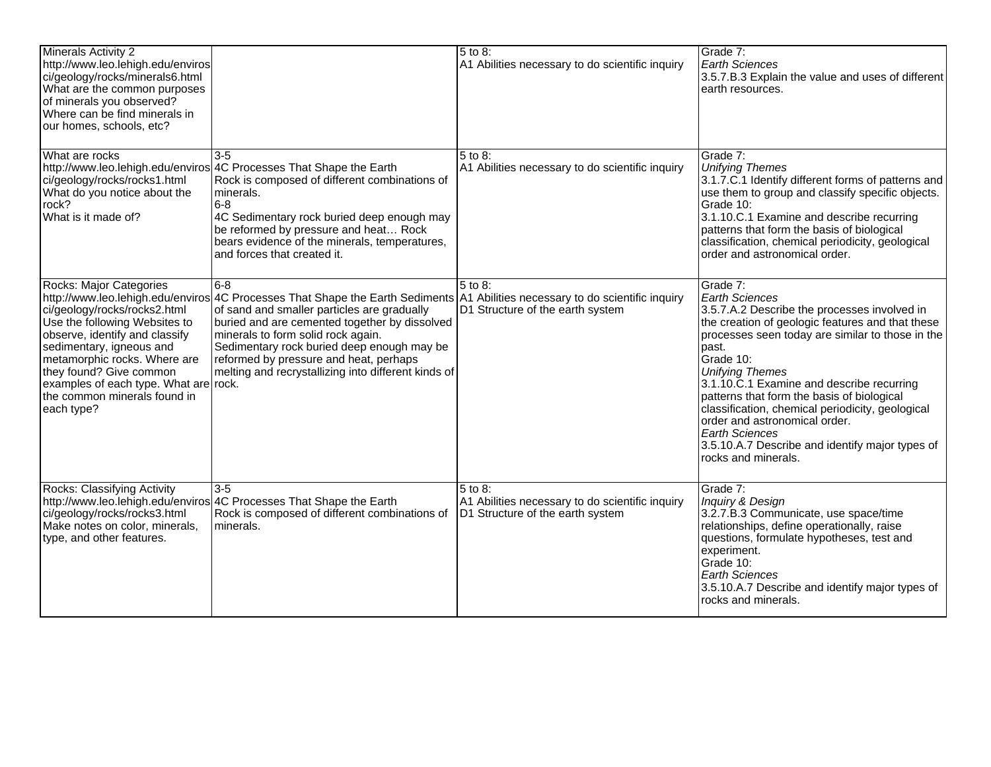| Minerals Activity 2<br>http://www.leo.lehigh.edu/enviros<br>ci/geology/rocks/minerals6.html<br>What are the common purposes<br>of minerals you observed?<br>Where can be find minerals in<br>our homes, schools, etc?                                                                                    |                                                                                                                                                                                                                                                                                                                                                                                                                              | $5$ to 8:<br>A1 Abilities necessary to do scientific inquiry                                   | Grade 7:<br><b>Earth Sciences</b><br>3.5.7.B.3 Explain the value and uses of different<br>earth resources.                                                                                                                                                                                                                                                                                                                                                                                                                   |
|----------------------------------------------------------------------------------------------------------------------------------------------------------------------------------------------------------------------------------------------------------------------------------------------------------|------------------------------------------------------------------------------------------------------------------------------------------------------------------------------------------------------------------------------------------------------------------------------------------------------------------------------------------------------------------------------------------------------------------------------|------------------------------------------------------------------------------------------------|------------------------------------------------------------------------------------------------------------------------------------------------------------------------------------------------------------------------------------------------------------------------------------------------------------------------------------------------------------------------------------------------------------------------------------------------------------------------------------------------------------------------------|
| What are rocks<br>ci/geology/rocks/rocks1.html<br>What do you notice about the<br>rock?<br>What is it made of?                                                                                                                                                                                           | $3 - 5$<br>http://www.leo.lehigh.edu/enviros 4C Processes That Shape the Earth<br>Rock is composed of different combinations of<br>minerals.<br>6-8<br>4C Sedimentary rock buried deep enough may<br>be reformed by pressure and heat Rock<br>bears evidence of the minerals, temperatures,<br>and forces that created it.                                                                                                   | 5 to 8:<br>A1 Abilities necessary to do scientific inquiry                                     | Grade 7:<br><b>Unifying Themes</b><br>3.1.7.C.1 Identify different forms of patterns and<br>use them to group and classify specific objects.<br>Grade 10:<br>3.1.10.C.1 Examine and describe recurring<br>patterns that form the basis of biological<br>classification, chemical periodicity, geological<br>order and astronomical order.                                                                                                                                                                                    |
| Rocks: Major Categories<br>ci/geology/rocks/rocks2.html<br>Use the following Websites to<br>observe, identify and classify<br>sedimentary, igneous and<br>metamorphic rocks. Where are<br>they found? Give common<br>examples of each type. What are rock.<br>the common minerals found in<br>each type? | 16-8<br>http://www.leo.lehigh.edu/enviros 4C Processes That Shape the Earth Sediments   A1 Abilities necessary to do scientific inquiry<br>of sand and smaller particles are gradually<br>buried and are cemented together by dissolved<br>minerals to form solid rock again.<br>Sedimentary rock buried deep enough may be<br>reformed by pressure and heat, perhaps<br>melting and recrystallizing into different kinds of | 5 to 8:<br>D1 Structure of the earth system                                                    | Grade 7:<br><b>Earth Sciences</b><br>3.5.7.A.2 Describe the processes involved in<br>the creation of geologic features and that these<br>processes seen today are similar to those in the<br>past.<br>Grade 10:<br><b>Unifying Themes</b><br>3.1.10.C.1 Examine and describe recurring<br>patterns that form the basis of biological<br>classification, chemical periodicity, geological<br>order and astronomical order.<br><b>Earth Sciences</b><br>3.5.10.A.7 Describe and identify major types of<br>rocks and minerals. |
| Rocks: Classifying Activity<br>ci/geology/rocks/rocks3.html<br>Make notes on color, minerals,<br>type, and other features.                                                                                                                                                                               | 3-5<br>http://www.leo.lehigh.edu/enviros 4C Processes That Shape the Earth<br>Rock is composed of different combinations of<br>minerals.                                                                                                                                                                                                                                                                                     | 5 to 8:<br>A1 Abilities necessary to do scientific inquiry<br>D1 Structure of the earth system | Grade 7:<br>Inquiry & Design<br>3.2.7.B.3 Communicate, use space/time<br>relationships, define operationally, raise<br>questions, formulate hypotheses, test and<br>experiment.<br>Grade 10:<br><b>Earth Sciences</b><br>3.5.10.A.7 Describe and identify major types of<br>rocks and minerals.                                                                                                                                                                                                                              |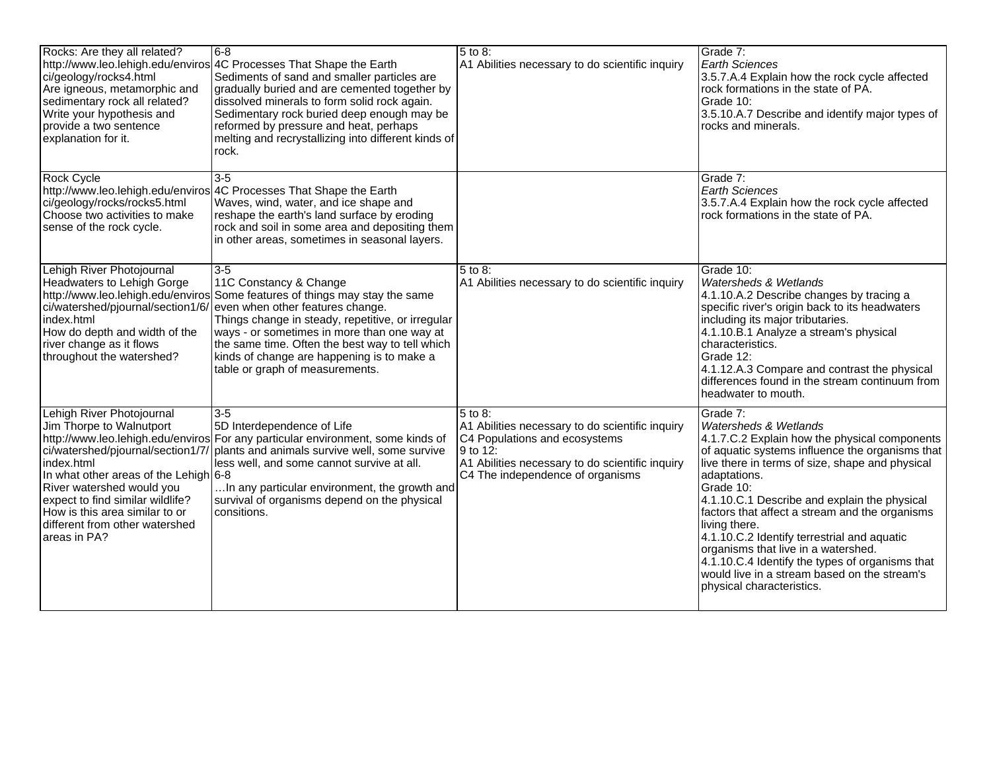| Rocks: Are they all related?<br>ci/geology/rocks4.html<br>Are igneous, metamorphic and<br>sedimentary rock all related?<br>Write your hypothesis and<br>provide a two sentence<br>explanation for it.                                                                                                  | 8-6<br>http://www.leo.lehigh.edu/enviros 4C Processes That Shape the Earth<br>Sediments of sand and smaller particles are<br>gradually buried and are cemented together by<br>dissolved minerals to form solid rock again.<br>Sedimentary rock buried deep enough may be<br>reformed by pressure and heat, perhaps<br>melting and recrystallizing into different kinds of<br>rock.         | $\overline{5}$ to 8:<br>A1 Abilities necessary to do scientific inquiry                                                                                                                                       | Grade 7:<br><b>Earth Sciences</b><br>3.5.7.A.4 Explain how the rock cycle affected<br>rock formations in the state of PA.<br>Grade 10:<br>3.5.10.A.7 Describe and identify major types of<br>rocks and minerals.                                                                                                                                                                                                                                                                                                                                                          |
|--------------------------------------------------------------------------------------------------------------------------------------------------------------------------------------------------------------------------------------------------------------------------------------------------------|--------------------------------------------------------------------------------------------------------------------------------------------------------------------------------------------------------------------------------------------------------------------------------------------------------------------------------------------------------------------------------------------|---------------------------------------------------------------------------------------------------------------------------------------------------------------------------------------------------------------|---------------------------------------------------------------------------------------------------------------------------------------------------------------------------------------------------------------------------------------------------------------------------------------------------------------------------------------------------------------------------------------------------------------------------------------------------------------------------------------------------------------------------------------------------------------------------|
| Rock Cycle<br>ci/geology/rocks/rocks5.html<br>Choose two activities to make<br>sense of the rock cycle.                                                                                                                                                                                                | $3-5$<br>http://www.leo.lehigh.edu/enviros 4C Processes That Shape the Earth<br>Waves, wind, water, and ice shape and<br>reshape the earth's land surface by eroding<br>rock and soil in some area and depositing them<br>in other areas, sometimes in seasonal layers.                                                                                                                    |                                                                                                                                                                                                               | Grade 7:<br><b>Earth Sciences</b><br>3.5.7.A.4 Explain how the rock cycle affected<br>rock formations in the state of PA.                                                                                                                                                                                                                                                                                                                                                                                                                                                 |
| Lehigh River Photojournal<br>Headwaters to Lehigh Gorge<br>http://www.leo.lehigh.edu/enviros<br>index.html<br>How do depth and width of the<br>river change as it flows<br>throughout the watershed?                                                                                                   | $3-5$<br>11C Constancy & Change<br>Some features of things may stay the same<br>ci/watershed/pjournal/section1/6/ even when other features change.<br>Things change in steady, repetitive, or irregular<br>ways - or sometimes in more than one way at<br>the same time. Often the best way to tell which<br>kinds of change are happening is to make a<br>table or graph of measurements. | 5 to 8:<br>A1 Abilities necessary to do scientific inquiry                                                                                                                                                    | Grade 10:<br>Watersheds & Wetlands<br>4.1.10.A.2 Describe changes by tracing a<br>specific river's origin back to its headwaters<br>including its major tributaries.<br>4.1.10.B.1 Analyze a stream's physical<br>characteristics.<br>Grade 12:<br>4.1.12.A.3 Compare and contrast the physical<br>differences found in the stream continuum from<br>headwater to mouth.                                                                                                                                                                                                  |
| Lehigh River Photojournal<br>Jim Thorpe to Walnutport<br>ci/watershed/pjournal/section1/7/<br>index.html<br>In what other areas of the Lehigh 6-8<br>River watershed would you<br>expect to find similar wildlife?<br>How is this area similar to or<br>different from other watershed<br>areas in PA? | $3-5$<br>5D Interdependence of Life<br>http://www.leo.lehigh.edu/enviros For any particular environment, some kinds of<br>plants and animals survive well, some survive<br>less well, and some cannot survive at all.<br>In any particular environment, the growth and<br>survival of organisms depend on the physical<br>consitions.                                                      | $\overline{5}$ to 8:<br>A1 Abilities necessary to do scientific inquiry<br>C4 Populations and ecosystems<br>l 9 to 12:<br>A1 Abilities necessary to do scientific inquiry<br>C4 The independence of organisms | Grade 7:<br><b>Watersheds &amp; Wetlands</b><br>4.1.7.C.2 Explain how the physical components<br>of aquatic systems influence the organisms that<br>live there in terms of size, shape and physical<br>adaptations.<br>Grade 10:<br>4.1.10.C.1 Describe and explain the physical<br>factors that affect a stream and the organisms<br>living there.<br>4.1.10.C.2 Identify terrestrial and aquatic<br>organisms that live in a watershed.<br>4.1.10.C.4 Identify the types of organisms that<br>would live in a stream based on the stream's<br>physical characteristics. |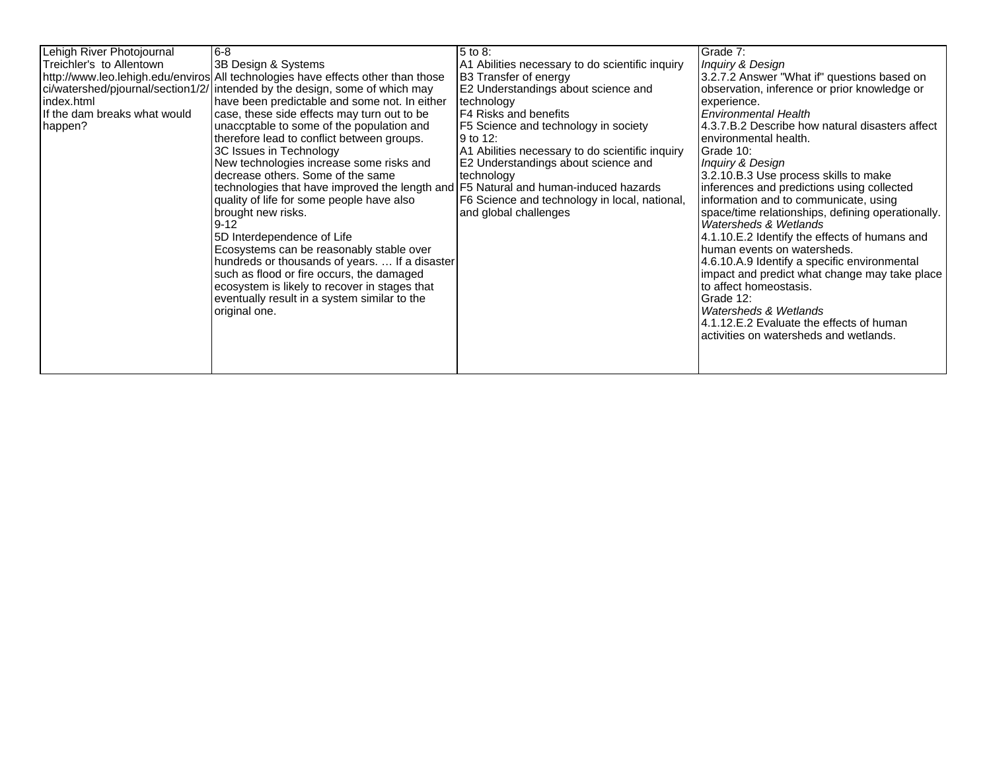| Lehigh River Photojournal<br>Treichler's to Allentown<br>index.html<br>If the dam breaks what would<br>happen? | l6-8<br>3B Design & Systems<br>http://www.leo.lehigh.edu/enviros All technologies have effects other than those<br>ci/watershed/pjournal/section1/2/ intended by the design, some of which may<br>have been predictable and some not. In either<br>case, these side effects may turn out to be<br>unaccptable to some of the population and<br>therefore lead to conflict between groups.<br>3C Issues in Technology<br>New technologies increase some risks and<br>decrease others. Some of the same<br>technologies that have improved the length and F5 Natural and human-induced hazards<br>quality of life for some people have also<br>brought new risks.<br>$9 - 12$<br>5D Interdependence of Life<br>Ecosystems can be reasonably stable over<br>hundreds or thousands of years.  If a disaster<br>such as flood or fire occurs, the damaged<br>ecosystem is likely to recover in stages that<br>eventually result in a system similar to the<br>original one. | 5 to 8:<br>A1 Abilities necessary to do scientific inquiry<br>B3 Transfer of energy<br>E2 Understandings about science and<br>technology<br>F4 Risks and benefits<br>F5 Science and technology in society<br>l 9 to 12:<br>A1 Abilities necessary to do scientific inquiry<br>E2 Understandings about science and<br>technology<br>F6 Science and technology in local, national,<br>and global challenges | Grade 7:<br>Inquiry & Design<br>3.2.7.2 Answer "What if" questions based on<br>observation, inference or prior knowledge or<br>experience.<br><b>Environmental Health</b><br>4.3.7.B.2 Describe how natural disasters affect<br>environmental health.<br>Grade 10:<br>Inquiry & Design<br>3.2.10.B.3 Use process skills to make<br>inferences and predictions using collected<br>information and to communicate, using<br>space/time relationships, defining operationally.<br>Watersheds & Wetlands<br>4.1.10.E.2 Identify the effects of humans and<br>human events on watersheds.<br>4.6.10.A.9 Identify a specific environmental<br>impact and predict what change may take place<br>to affect homeostasis.<br>Grade 12:<br>Watersheds & Wetlands<br>4.1.12.E.2 Evaluate the effects of human<br>activities on watersheds and wetlands. |
|----------------------------------------------------------------------------------------------------------------|------------------------------------------------------------------------------------------------------------------------------------------------------------------------------------------------------------------------------------------------------------------------------------------------------------------------------------------------------------------------------------------------------------------------------------------------------------------------------------------------------------------------------------------------------------------------------------------------------------------------------------------------------------------------------------------------------------------------------------------------------------------------------------------------------------------------------------------------------------------------------------------------------------------------------------------------------------------------|-----------------------------------------------------------------------------------------------------------------------------------------------------------------------------------------------------------------------------------------------------------------------------------------------------------------------------------------------------------------------------------------------------------|---------------------------------------------------------------------------------------------------------------------------------------------------------------------------------------------------------------------------------------------------------------------------------------------------------------------------------------------------------------------------------------------------------------------------------------------------------------------------------------------------------------------------------------------------------------------------------------------------------------------------------------------------------------------------------------------------------------------------------------------------------------------------------------------------------------------------------------------|
|----------------------------------------------------------------------------------------------------------------|------------------------------------------------------------------------------------------------------------------------------------------------------------------------------------------------------------------------------------------------------------------------------------------------------------------------------------------------------------------------------------------------------------------------------------------------------------------------------------------------------------------------------------------------------------------------------------------------------------------------------------------------------------------------------------------------------------------------------------------------------------------------------------------------------------------------------------------------------------------------------------------------------------------------------------------------------------------------|-----------------------------------------------------------------------------------------------------------------------------------------------------------------------------------------------------------------------------------------------------------------------------------------------------------------------------------------------------------------------------------------------------------|---------------------------------------------------------------------------------------------------------------------------------------------------------------------------------------------------------------------------------------------------------------------------------------------------------------------------------------------------------------------------------------------------------------------------------------------------------------------------------------------------------------------------------------------------------------------------------------------------------------------------------------------------------------------------------------------------------------------------------------------------------------------------------------------------------------------------------------------|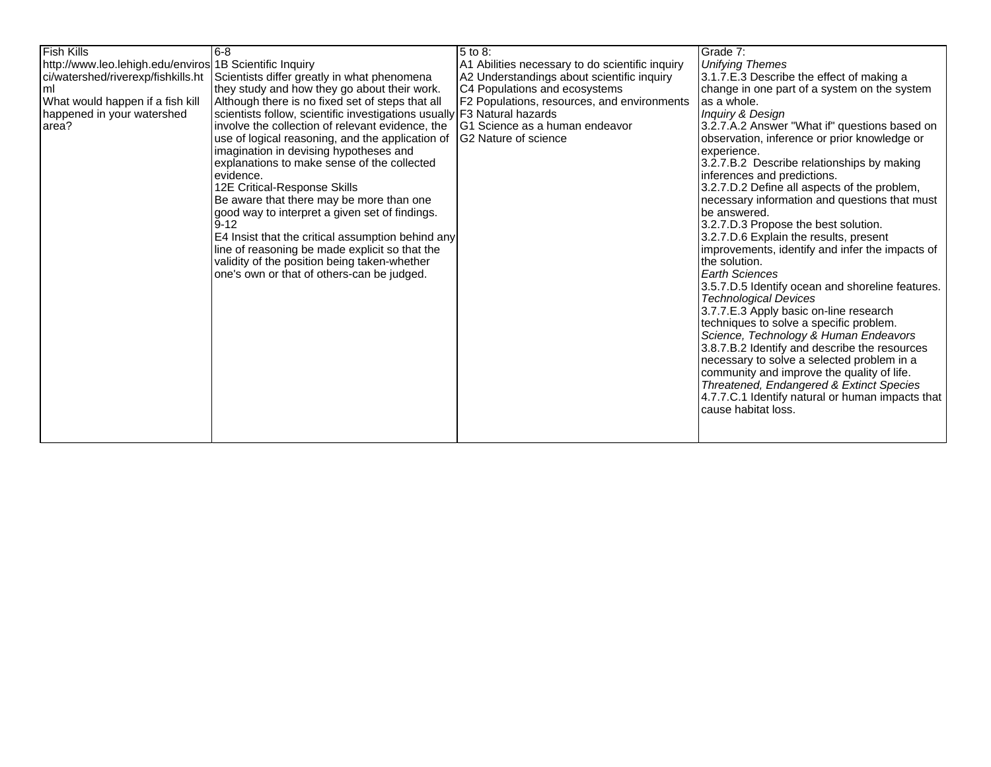| <b>Fish Kills</b>                                       | 8-16                                                                    | 5 to 8:                                         | Grade 7:                                                                               |
|---------------------------------------------------------|-------------------------------------------------------------------------|-------------------------------------------------|----------------------------------------------------------------------------------------|
| http://www.leo.lehigh.edu/enviros 1B Scientific Inquiry |                                                                         | A1 Abilities necessary to do scientific inquiry | <b>Unifying Themes</b>                                                                 |
| ci/watershed/riverexp/fishkills.ht                      | Scientists differ greatly in what phenomena                             | A2 Understandings about scientific inquiry      | 3.1.7.E.3 Describe the effect of making a                                              |
| ml                                                      | they study and how they go about their work.                            | C4 Populations and ecosystems                   | change in one part of a system on the system                                           |
| What would happen if a fish kill                        | Although there is no fixed set of steps that all                        | F2 Populations, resources, and environments     | as a whole.                                                                            |
| happened in your watershed                              | scientists follow, scientific investigations usually F3 Natural hazards |                                                 | Inquiry & Design                                                                       |
| area?                                                   | involve the collection of relevant evidence, the                        | G1 Science as a human endeavor                  | 3.2.7.A.2 Answer "What if" questions based on                                          |
|                                                         | use of logical reasoning, and the application of                        | IG2 Nature of science                           | observation, inference or prior knowledge or                                           |
|                                                         | imagination in devising hypotheses and                                  |                                                 | experience.                                                                            |
|                                                         | explanations to make sense of the collected                             |                                                 | 3.2.7.B.2 Describe relationships by making                                             |
|                                                         | levidence.                                                              |                                                 | inferences and predictions.                                                            |
|                                                         | 12E Critical-Response Skills                                            |                                                 | 3.2.7.D.2 Define all aspects of the problem,                                           |
|                                                         | Be aware that there may be more than one                                |                                                 | necessary information and questions that must                                          |
|                                                         | good way to interpret a given set of findings.                          |                                                 | be answered.                                                                           |
|                                                         | $ 9 - 12 $                                                              |                                                 | 3.2.7.D.3 Propose the best solution.                                                   |
|                                                         | E4 Insist that the critical assumption behind any                       |                                                 | 3.2.7.D.6 Explain the results, present                                                 |
|                                                         | line of reasoning be made explicit so that the                          |                                                 | improvements, identify and infer the impacts of                                        |
|                                                         | validity of the position being taken-whether                            |                                                 | the solution.                                                                          |
|                                                         | one's own or that of others-can be judged.                              |                                                 | <b>Earth Sciences</b>                                                                  |
|                                                         |                                                                         |                                                 | 3.5.7.D.5 Identify ocean and shoreline features.                                       |
|                                                         |                                                                         |                                                 | <b>Technological Devices</b>                                                           |
|                                                         |                                                                         |                                                 | 3.7.7.E.3 Apply basic on-line research                                                 |
|                                                         |                                                                         |                                                 | techniques to solve a specific problem.                                                |
|                                                         |                                                                         |                                                 | Science, Technology & Human Endeavors                                                  |
|                                                         |                                                                         |                                                 | 3.8.7.B.2 Identify and describe the resources                                          |
|                                                         |                                                                         |                                                 | necessary to solve a selected problem in a                                             |
|                                                         |                                                                         |                                                 | community and improve the quality of life.<br>Threatened, Endangered & Extinct Species |
|                                                         |                                                                         |                                                 | 4.7.7.C.1 Identify natural or human impacts that                                       |
|                                                         |                                                                         |                                                 |                                                                                        |
|                                                         |                                                                         |                                                 |                                                                                        |
|                                                         |                                                                         |                                                 |                                                                                        |
|                                                         |                                                                         |                                                 | cause habitat loss.                                                                    |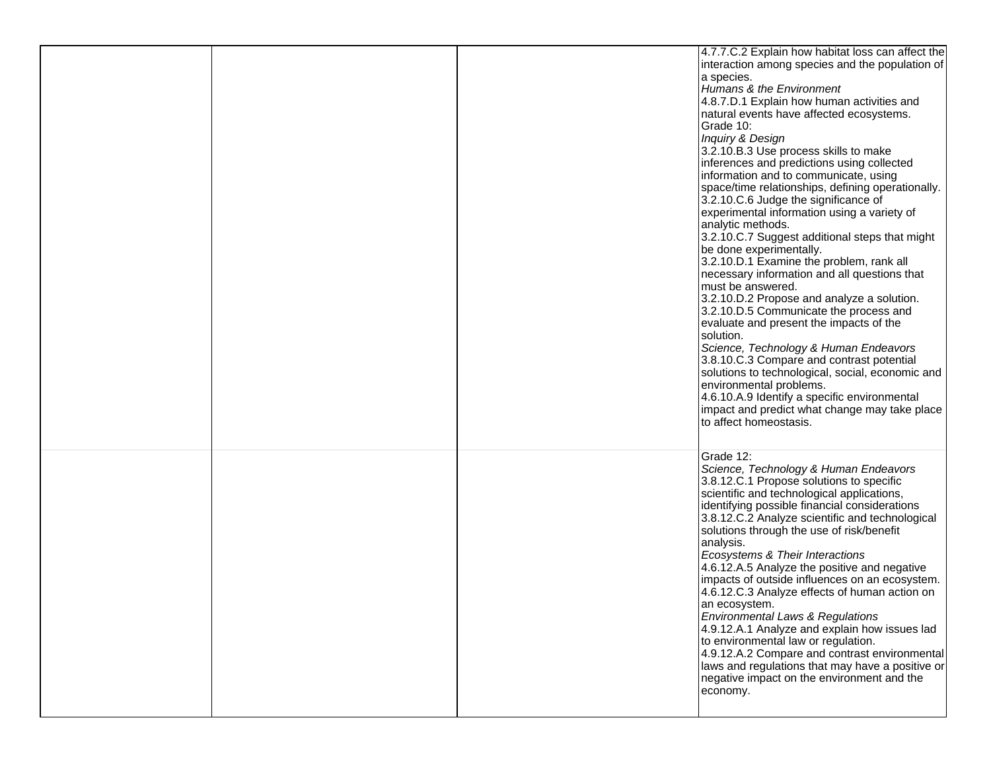|  | 4.7.7.C.2 Explain how habitat loss can affect the<br>interaction among species and the population of<br>a species.<br>Humans & the Environment<br>4.8.7.D.1 Explain how human activities and<br>natural events have affected ecosystems.<br>Grade 10:<br>Inquiry & Design<br>3.2.10.B.3 Use process skills to make<br>inferences and predictions using collected<br>information and to communicate, using<br>space/time relationships, defining operationally.<br>3.2.10.C.6 Judge the significance of<br>experimental information using a variety of<br>analytic methods.<br>3.2.10.C.7 Suggest additional steps that might<br>be done experimentally.<br>3.2.10.D.1 Examine the problem, rank all<br>necessary information and all questions that<br>must be answered.<br>3.2.10.D.2 Propose and analyze a solution.<br>3.2.10.D.5 Communicate the process and<br>evaluate and present the impacts of the<br>solution.<br>Science, Technology & Human Endeavors<br>3.8.10.C.3 Compare and contrast potential<br>solutions to technological, social, economic and<br>environmental problems.<br>4.6.10.A.9 Identify a specific environmental<br>impact and predict what change may take place<br>to affect homeostasis. |
|--|--------------------------------------------------------------------------------------------------------------------------------------------------------------------------------------------------------------------------------------------------------------------------------------------------------------------------------------------------------------------------------------------------------------------------------------------------------------------------------------------------------------------------------------------------------------------------------------------------------------------------------------------------------------------------------------------------------------------------------------------------------------------------------------------------------------------------------------------------------------------------------------------------------------------------------------------------------------------------------------------------------------------------------------------------------------------------------------------------------------------------------------------------------------------------------------------------------------------------|
|  | Grade 12:<br>Science, Technology & Human Endeavors<br>3.8.12.C.1 Propose solutions to specific<br>scientific and technological applications,<br>identifying possible financial considerations<br>3.8.12.C.2 Analyze scientific and technological<br>solutions through the use of risk/benefit<br>analysis.<br>Ecosystems & Their Interactions<br>4.6.12.A.5 Analyze the positive and negative<br>impacts of outside influences on an ecosystem.<br>4.6.12.C.3 Analyze effects of human action on<br>an ecosystem.<br>Environmental Laws & Regulations<br>4.9.12.A.1 Analyze and explain how issues lad<br>to environmental law or regulation.<br>4.9.12.A.2 Compare and contrast environmental<br>laws and regulations that may have a positive or<br>negative impact on the environment and the<br>economy.                                                                                                                                                                                                                                                                                                                                                                                                             |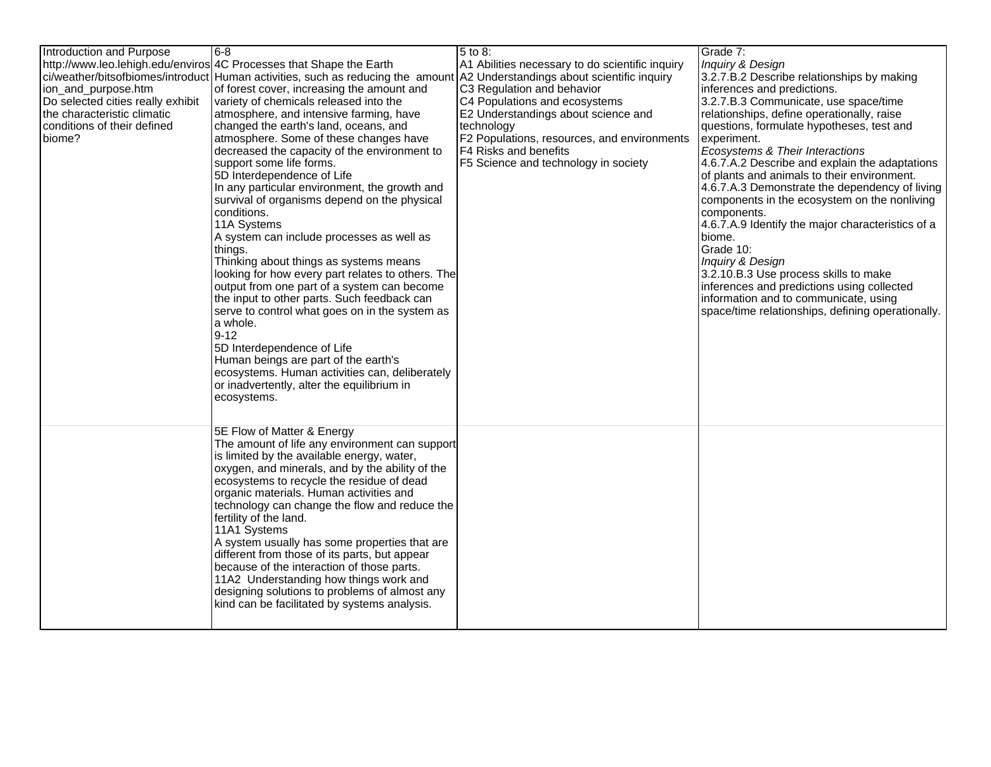| Introduction and Purpose          | 6-8                                                                                                                        | 5 to 8:                                         | Grade 7:                                          |
|-----------------------------------|----------------------------------------------------------------------------------------------------------------------------|-------------------------------------------------|---------------------------------------------------|
|                                   | http://www.leo.lehigh.edu/enviros 4C Processes that Shape the Earth                                                        | A1 Abilities necessary to do scientific inquiry | Inquiry & Design                                  |
|                                   | ci/weather/bitsofbiomes/introduct Human activities, such as reducing the amount A2 Understandings about scientific inquiry |                                                 | 3.2.7.B.2 Describe relationships by making        |
| ion_and_purpose.htm               | of forest cover, increasing the amount and                                                                                 | C3 Regulation and behavior                      | inferences and predictions.                       |
| Do selected cities really exhibit | variety of chemicals released into the                                                                                     | C4 Populations and ecosystems                   | 3.2.7.B.3 Communicate, use space/time             |
| the characteristic climatic       | atmosphere, and intensive farming, have                                                                                    | E2 Understandings about science and             | relationships, define operationally, raise        |
| conditions of their defined       | changed the earth's land, oceans, and                                                                                      | technology                                      | questions, formulate hypotheses, test and         |
| biome?                            | atmosphere. Some of these changes have                                                                                     | F2 Populations, resources, and environments     | experiment.                                       |
|                                   | decreased the capacity of the environment to                                                                               | F4 Risks and benefits                           | Ecosystems & Their Interactions                   |
|                                   | support some life forms.                                                                                                   | F5 Science and technology in society            | 4.6.7.A.2 Describe and explain the adaptations    |
|                                   | 5D Interdependence of Life                                                                                                 |                                                 | of plants and animals to their environment.       |
|                                   | In any particular environment, the growth and                                                                              |                                                 | 4.6.7.A.3 Demonstrate the dependency of living    |
|                                   | survival of organisms depend on the physical                                                                               |                                                 | components in the ecosystem on the nonliving      |
|                                   | conditions.                                                                                                                |                                                 | components.                                       |
|                                   | 11A Systems                                                                                                                |                                                 | 4.6.7.A.9 Identify the major characteristics of a |
|                                   | A system can include processes as well as                                                                                  |                                                 | biome.                                            |
|                                   | things.                                                                                                                    |                                                 | Grade 10:                                         |
|                                   | Thinking about things as systems means                                                                                     |                                                 | Inquiry & Design                                  |
|                                   | looking for how every part relates to others. The                                                                          |                                                 | 3.2.10.B.3 Use process skills to make             |
|                                   | output from one part of a system can become                                                                                |                                                 | inferences and predictions using collected        |
|                                   | the input to other parts. Such feedback can                                                                                |                                                 | information and to communicate, using             |
|                                   | serve to control what goes on in the system as                                                                             |                                                 | space/time relationships, defining operationally. |
|                                   | a whole.                                                                                                                   |                                                 |                                                   |
|                                   | $9 - 12$                                                                                                                   |                                                 |                                                   |
|                                   | 5D Interdependence of Life                                                                                                 |                                                 |                                                   |
|                                   | Human beings are part of the earth's                                                                                       |                                                 |                                                   |
|                                   | ecosystems. Human activities can, deliberately<br>or inadvertently, alter the equilibrium in                               |                                                 |                                                   |
|                                   | ecosystems.                                                                                                                |                                                 |                                                   |
|                                   |                                                                                                                            |                                                 |                                                   |
|                                   |                                                                                                                            |                                                 |                                                   |
|                                   | 5E Flow of Matter & Energy                                                                                                 |                                                 |                                                   |
|                                   | The amount of life any environment can support                                                                             |                                                 |                                                   |
|                                   | is limited by the available energy, water,                                                                                 |                                                 |                                                   |
|                                   | oxygen, and minerals, and by the ability of the                                                                            |                                                 |                                                   |
|                                   | ecosystems to recycle the residue of dead                                                                                  |                                                 |                                                   |
|                                   | organic materials. Human activities and                                                                                    |                                                 |                                                   |
|                                   | technology can change the flow and reduce the                                                                              |                                                 |                                                   |
|                                   | fertility of the land.                                                                                                     |                                                 |                                                   |
|                                   | 11A1 Systems                                                                                                               |                                                 |                                                   |
|                                   | A system usually has some properties that are                                                                              |                                                 |                                                   |
|                                   | different from those of its parts, but appear                                                                              |                                                 |                                                   |
|                                   | because of the interaction of those parts.                                                                                 |                                                 |                                                   |
|                                   | 11A2 Understanding how things work and                                                                                     |                                                 |                                                   |
|                                   | designing solutions to problems of almost any                                                                              |                                                 |                                                   |
|                                   | kind can be facilitated by systems analysis.                                                                               |                                                 |                                                   |
|                                   |                                                                                                                            |                                                 |                                                   |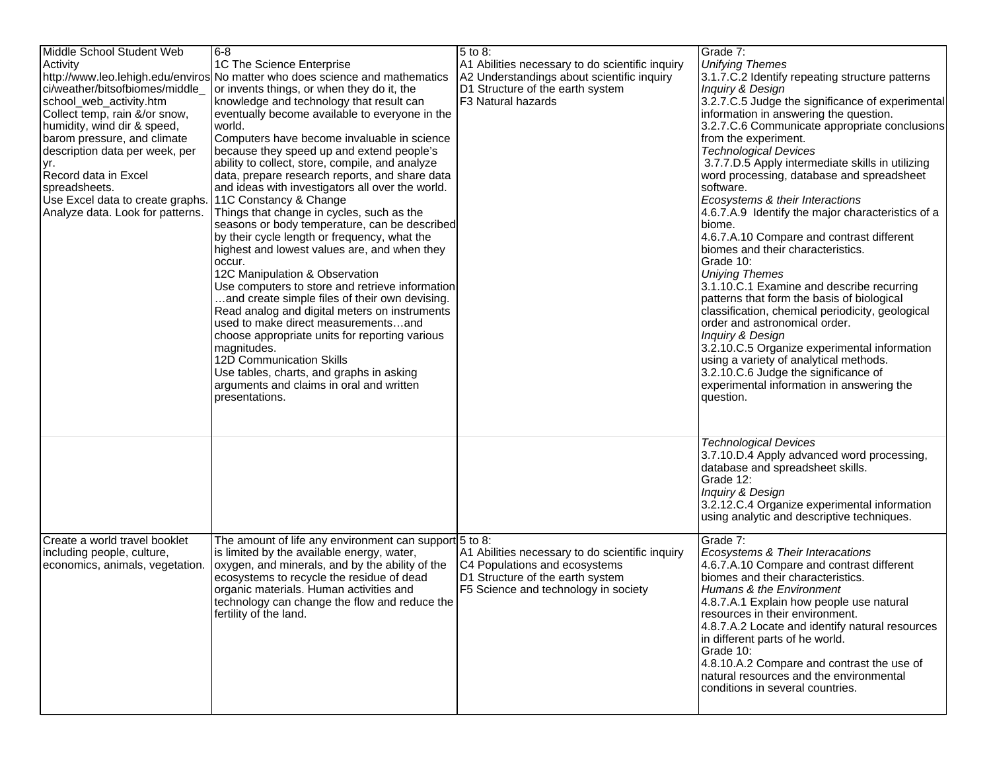| Middle School Student Web                         | 8-16                                                                         | 5 to 8:                                         | Grade 7:                                                                             |
|---------------------------------------------------|------------------------------------------------------------------------------|-------------------------------------------------|--------------------------------------------------------------------------------------|
| Activity                                          | 1C The Science Enterprise                                                    | A1 Abilities necessary to do scientific inquiry | <b>Unifying Themes</b>                                                               |
|                                                   | http://www.leo.lehigh.edu/enviros No matter who does science and mathematics | A2 Understandings about scientific inquiry      | 3.1.7.C.2 Identify repeating structure patterns                                      |
| ci/weather/bitsofbiomes/middle_                   | or invents things, or when they do it, the                                   | D1 Structure of the earth system                | Inquiry & Design                                                                     |
| school_web_activity.htm                           | knowledge and technology that result can                                     | F <sub>3</sub> Natural hazards                  | 3.2.7.C.5 Judge the significance of experimental                                     |
| Collect temp, rain &/or snow,                     | eventually become available to everyone in the                               |                                                 | information in answering the question.                                               |
| humidity, wind dir & speed,                       | world.                                                                       |                                                 | 3.2.7.C.6 Communicate appropriate conclusions                                        |
| barom pressure, and climate                       | Computers have become invaluable in science                                  |                                                 | from the experiment.                                                                 |
| description data per week, per                    | because they speed up and extend people's                                    |                                                 | <b>Technological Devices</b>                                                         |
| yr.                                               | ability to collect, store, compile, and analyze                              |                                                 | 3.7.7.D.5 Apply intermediate skills in utilizing                                     |
| Record data in Excel                              | data, prepare research reports, and share data                               |                                                 | word processing, database and spreadsheet<br>software.                               |
| spreadsheets.<br>Use Excel data to create graphs. | and ideas with investigators all over the world.<br>11C Constancy & Change   |                                                 |                                                                                      |
| Analyze data. Look for patterns.                  | Things that change in cycles, such as the                                    |                                                 | Ecosystems & their Interactions<br>4.6.7.A.9 Identify the major characteristics of a |
|                                                   | seasons or body temperature, can be described                                |                                                 | biome.                                                                               |
|                                                   | by their cycle length or frequency, what the                                 |                                                 | 4.6.7.A.10 Compare and contrast different                                            |
|                                                   | highest and lowest values are, and when they                                 |                                                 | biomes and their characteristics.                                                    |
|                                                   | occur.                                                                       |                                                 | Grade 10:                                                                            |
|                                                   | 12C Manipulation & Observation                                               |                                                 | <b>Uniying Themes</b>                                                                |
|                                                   | Use computers to store and retrieve information                              |                                                 | 3.1.10.C.1 Examine and describe recurring                                            |
|                                                   | and create simple files of their own devising.                               |                                                 | patterns that form the basis of biological                                           |
|                                                   | Read analog and digital meters on instruments                                |                                                 | classification, chemical periodicity, geological                                     |
|                                                   | used to make direct measurementsand                                          |                                                 | order and astronomical order.                                                        |
|                                                   | choose appropriate units for reporting various                               |                                                 | Inquiry & Design                                                                     |
|                                                   | magnitudes.                                                                  |                                                 | 3.2.10.C.5 Organize experimental information                                         |
|                                                   | 12D Communication Skills                                                     |                                                 | using a variety of analytical methods.                                               |
|                                                   | Use tables, charts, and graphs in asking                                     |                                                 | 3.2.10.C.6 Judge the significance of                                                 |
|                                                   | arguments and claims in oral and written                                     |                                                 | experimental information in answering the                                            |
|                                                   | presentations.                                                               |                                                 | question.                                                                            |
|                                                   |                                                                              |                                                 |                                                                                      |
|                                                   |                                                                              |                                                 |                                                                                      |
|                                                   |                                                                              |                                                 | <b>Technological Devices</b>                                                         |
|                                                   |                                                                              |                                                 | 3.7.10.D.4 Apply advanced word processing,<br>database and spreadsheet skills.       |
|                                                   |                                                                              |                                                 | Grade 12:                                                                            |
|                                                   |                                                                              |                                                 | Inquiry & Design                                                                     |
|                                                   |                                                                              |                                                 | 3.2.12.C.4 Organize experimental information                                         |
|                                                   |                                                                              |                                                 | using analytic and descriptive techniques.                                           |
|                                                   |                                                                              |                                                 |                                                                                      |
| Create a world travel booklet                     | The amount of life any environment can support $5$ to 8:                     |                                                 | Grade 7:                                                                             |
| including people, culture,                        | is limited by the available energy, water,                                   | A1 Abilities necessary to do scientific inquiry | Ecosystems & Their Interacations                                                     |
| economics, animals, vegetation.                   | oxygen, and minerals, and by the ability of the                              | C4 Populations and ecosystems                   | 4.6.7.A.10 Compare and contrast different                                            |
|                                                   | ecosystems to recycle the residue of dead                                    | D1 Structure of the earth system                | biomes and their characteristics.                                                    |
|                                                   | organic materials. Human activities and                                      | F5 Science and technology in society            | Humans & the Environment                                                             |
|                                                   | technology can change the flow and reduce the                                |                                                 | 4.8.7.A.1 Explain how people use natural                                             |
|                                                   | fertility of the land.                                                       |                                                 | resources in their environment.                                                      |
|                                                   |                                                                              |                                                 | 4.8.7.A.2 Locate and identify natural resources<br>in different parts of he world.   |
|                                                   |                                                                              |                                                 | Grade 10:                                                                            |
|                                                   |                                                                              |                                                 | 4.8.10.A.2 Compare and contrast the use of                                           |
|                                                   |                                                                              |                                                 | natural resources and the environmental                                              |
|                                                   |                                                                              |                                                 | conditions in several countries.                                                     |
|                                                   |                                                                              |                                                 |                                                                                      |
|                                                   |                                                                              |                                                 |                                                                                      |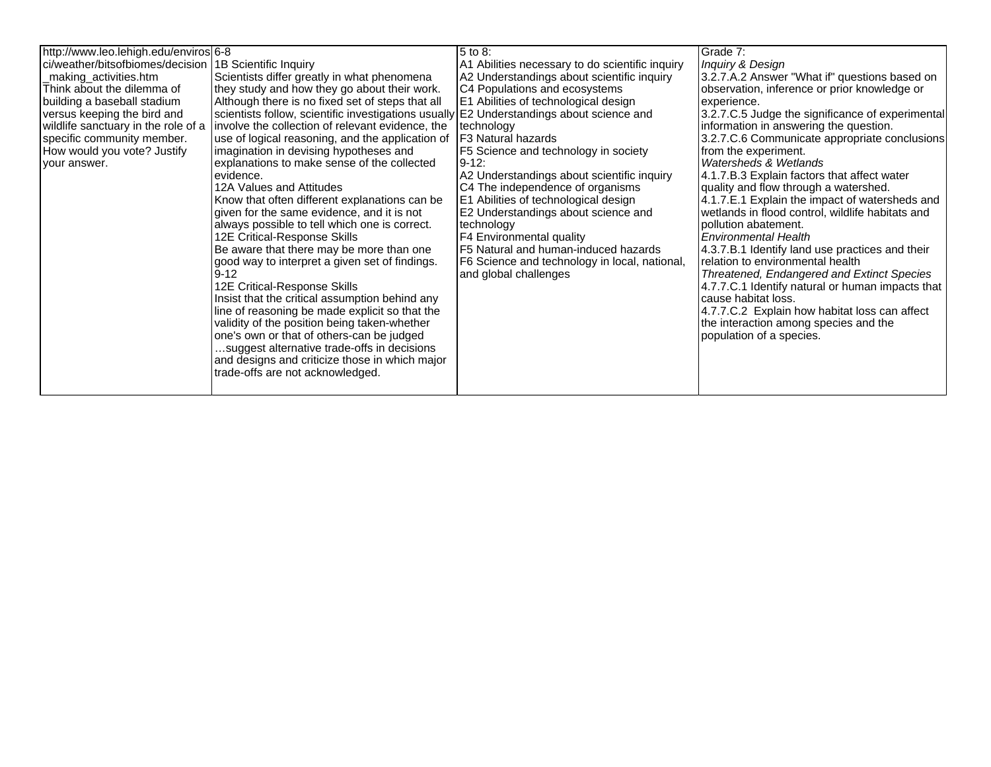| http://www.leo.lehigh.edu/enviros 6-8<br>ci/weather/bitsofbiomes/decision<br>_making_activities.htm<br>Think about the dilemma of<br>building a baseball stadium<br>versus keeping the bird and<br>wildlife sanctuary in the role of a<br>specific community member.<br>How would you vote? Justify<br>your answer. | 1B Scientific Inquiry<br>Scientists differ greatly in what phenomena<br>they study and how they go about their work.<br>Although there is no fixed set of steps that all<br>scientists follow, scientific investigations usually E2 Understandings about science and<br>involve the collection of relevant evidence, the<br>use of logical reasoning, and the application of<br>imagination in devising hypotheses and<br>explanations to make sense of the collected<br>levidence.<br>12A Values and Attitudes<br>Know that often different explanations can be<br>given for the same evidence, and it is not<br>always possible to tell which one is correct.<br>12E Critical-Response Skills<br>Be aware that there may be more than one<br>good way to interpret a given set of findings.<br>$9 - 12$<br>12E Critical-Response Skills<br>Insist that the critical assumption behind any<br>line of reasoning be made explicit so that the<br>validity of the position being taken-whether<br>one's own or that of others-can be judged<br>suggest alternative trade-offs in decisions<br>and designs and criticize those in which major | 5 to 8:<br>A1 Abilities necessary to do scientific inquiry<br>A2 Understandings about scientific inquiry<br>C4 Populations and ecosystems<br>E1 Abilities of technological design<br>technology<br>F3 Natural hazards<br>F5 Science and technology in society<br>9-12:<br>A2 Understandings about scientific inquiry<br>C4 The independence of organisms<br>E1 Abilities of technological design<br>E2 Understandings about science and<br>technology<br>F4 Environmental quality<br>F5 Natural and human-induced hazards<br>F6 Science and technology in local, national,<br>and global challenges | Grade 7:<br>Inquiry & Design<br>3.2.7.A.2 Answer "What if" questions based on<br>observation, inference or prior knowledge or<br>experience.<br>3.2.7.C.5 Judge the significance of experimental<br>information in answering the question.<br>3.2.7.C.6 Communicate appropriate conclusions<br>from the experiment.<br>Watersheds & Wetlands<br>4.1.7.B.3 Explain factors that affect water<br>quality and flow through a watershed.<br>4.1.7.E.1 Explain the impact of watersheds and<br>wetlands in flood control, wildlife habitats and<br>pollution abatement.<br><b>Environmental Health</b><br>4.3.7.B.1 Identify land use practices and their<br>relation to environmental health<br>Threatened, Endangered and Extinct Species<br>4.7.7.C.1 Identify natural or human impacts that<br>cause habitat loss.<br>4.7.7.C.2 Explain how habitat loss can affect<br>the interaction among species and the<br>population of a species. |
|---------------------------------------------------------------------------------------------------------------------------------------------------------------------------------------------------------------------------------------------------------------------------------------------------------------------|---------------------------------------------------------------------------------------------------------------------------------------------------------------------------------------------------------------------------------------------------------------------------------------------------------------------------------------------------------------------------------------------------------------------------------------------------------------------------------------------------------------------------------------------------------------------------------------------------------------------------------------------------------------------------------------------------------------------------------------------------------------------------------------------------------------------------------------------------------------------------------------------------------------------------------------------------------------------------------------------------------------------------------------------------------------------------------------------------------------------------------------------|-----------------------------------------------------------------------------------------------------------------------------------------------------------------------------------------------------------------------------------------------------------------------------------------------------------------------------------------------------------------------------------------------------------------------------------------------------------------------------------------------------------------------------------------------------------------------------------------------------|-----------------------------------------------------------------------------------------------------------------------------------------------------------------------------------------------------------------------------------------------------------------------------------------------------------------------------------------------------------------------------------------------------------------------------------------------------------------------------------------------------------------------------------------------------------------------------------------------------------------------------------------------------------------------------------------------------------------------------------------------------------------------------------------------------------------------------------------------------------------------------------------------------------------------------------------|
|                                                                                                                                                                                                                                                                                                                     | trade-offs are not acknowledged.                                                                                                                                                                                                                                                                                                                                                                                                                                                                                                                                                                                                                                                                                                                                                                                                                                                                                                                                                                                                                                                                                                            |                                                                                                                                                                                                                                                                                                                                                                                                                                                                                                                                                                                                     |                                                                                                                                                                                                                                                                                                                                                                                                                                                                                                                                                                                                                                                                                                                                                                                                                                                                                                                                         |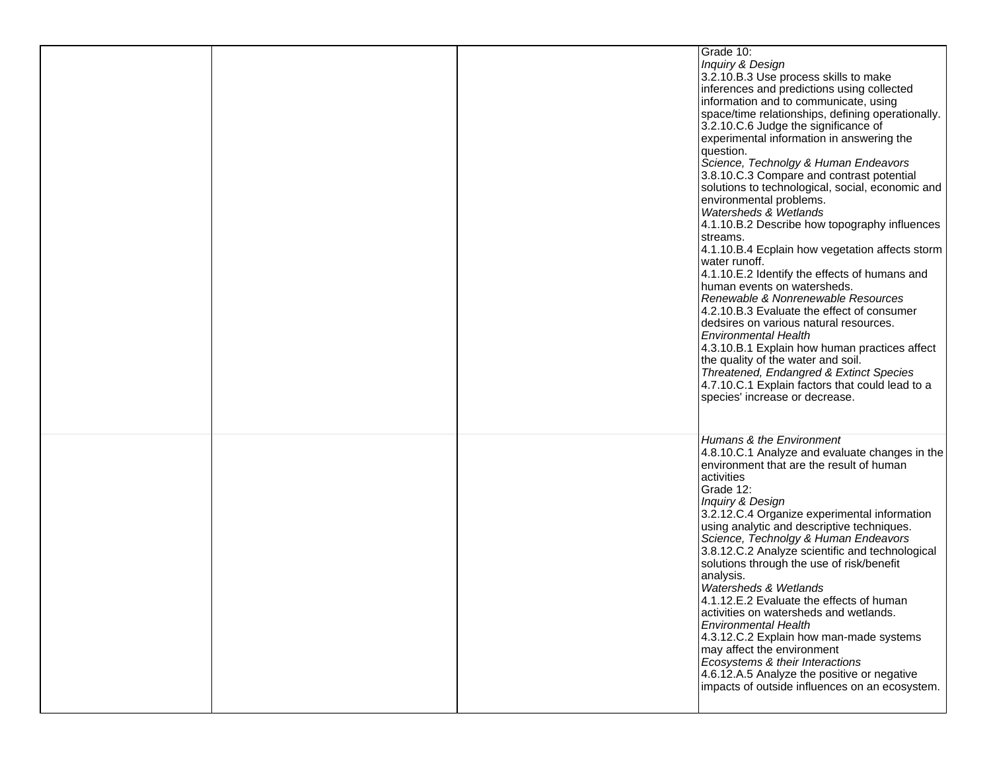|  | Grade 10:<br>Inquiry & Design<br>3.2.10.B.3 Use process skills to make<br>inferences and predictions using collected<br>information and to communicate, using<br>space/time relationships, defining operationally.<br>3.2.10.C.6 Judge the significance of<br>experimental information in answering the<br>question.<br>Science, Technolgy & Human Endeavors<br>3.8.10.C.3 Compare and contrast potential<br>solutions to technological, social, economic and<br>environmental problems.<br>Watersheds & Wetlands<br>4.1.10.B.2 Describe how topography influences<br>streams.<br>4.1.10.B.4 Ecplain how vegetation affects storm<br>water runoff.<br>4.1.10.E.2 Identify the effects of humans and<br>human events on watersheds.<br>Renewable & Nonrenewable Resources<br>4.2.10.B.3 Evaluate the effect of consumer<br>dedsires on various natural resources.<br><b>Environmental Health</b><br>4.3.10.B.1 Explain how human practices affect<br>the quality of the water and soil.<br>Threatened, Endangred & Extinct Species<br>4.7.10.C.1 Explain factors that could lead to a<br>species' increase or decrease. |
|--|------------------------------------------------------------------------------------------------------------------------------------------------------------------------------------------------------------------------------------------------------------------------------------------------------------------------------------------------------------------------------------------------------------------------------------------------------------------------------------------------------------------------------------------------------------------------------------------------------------------------------------------------------------------------------------------------------------------------------------------------------------------------------------------------------------------------------------------------------------------------------------------------------------------------------------------------------------------------------------------------------------------------------------------------------------------------------------------------------------------------|
|  | Humans & the Environment<br>4.8.10.C.1 Analyze and evaluate changes in the<br>environment that are the result of human<br>activities<br>Grade 12:<br>Inquiry & Design<br>3.2.12.C.4 Organize experimental information<br>using analytic and descriptive techniques.<br>Science, Technolgy & Human Endeavors<br>3.8.12.C.2 Analyze scientific and technological<br>solutions through the use of risk/benefit<br>analysis.<br>Watersheds & Wetlands<br>4.1.12.E.2 Evaluate the effects of human<br>activities on watersheds and wetlands.<br><b>Environmental Health</b><br>4.3.12.C.2 Explain how man-made systems<br>may affect the environment<br>Ecosystems & their Interactions<br>4.6.12.A.5 Analyze the positive or negative<br>impacts of outside influences on an ecosystem.                                                                                                                                                                                                                                                                                                                                    |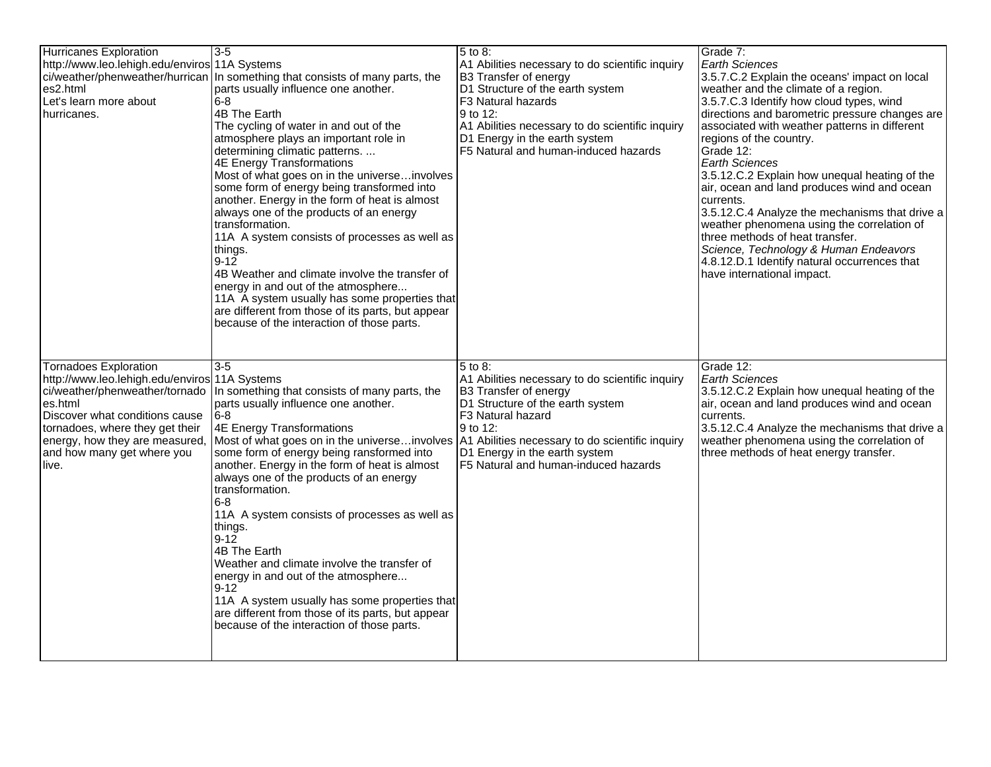| <b>Hurricanes Exploration</b><br>http://www.leo.lehigh.edu/enviros 11A Systems<br>ci/weather/phenweather/hurrican<br>es2.html<br>Let's learn more about<br>hurricanes.                                                                                                   | $3 - 5$<br>In something that consists of many parts, the<br>parts usually influence one another.<br>$6-8$<br>4B The Earth<br>The cycling of water in and out of the<br>atmosphere plays an important role in<br>determining climatic patterns.<br><b>4E Energy Transformations</b><br>Most of what goes on in the universeinvolves<br>some form of energy being transformed into<br>another. Energy in the form of heat is almost<br>always one of the products of an energy<br>transformation.<br>11A A system consists of processes as well as<br>things.<br>$9-12$<br>4B Weather and climate involve the transfer of<br>energy in and out of the atmosphere<br>11A A system usually has some properties that<br>are different from those of its parts, but appear<br>because of the interaction of those parts. | $5$ to 8:<br>A1 Abilities necessary to do scientific inquiry<br><b>B3 Transfer of energy</b><br>D1 Structure of the earth system<br>F <sub>3</sub> Natural hazards<br>9 to 12:<br>A1 Abilities necessary to do scientific inquiry<br>D1 Energy in the earth system<br>F5 Natural and human-induced hazards | Grade 7:<br><b>Earth Sciences</b><br>3.5.7.C.2 Explain the oceans' impact on local<br>weather and the climate of a region.<br>3.5.7.C.3 Identify how cloud types, wind<br>directions and barometric pressure changes are<br>associated with weather patterns in different<br>regions of the country.<br>Grade 12:<br><b>Earth Sciences</b><br>3.5.12.C.2 Explain how unequal heating of the<br>air, ocean and land produces wind and ocean<br>currents.<br>3.5.12.C.4 Analyze the mechanisms that drive a<br>weather phenomena using the correlation of<br>three methods of heat transfer.<br>Science, Technology & Human Endeavors<br>4.8.12.D.1 Identify natural occurrences that<br>have international impact. |
|--------------------------------------------------------------------------------------------------------------------------------------------------------------------------------------------------------------------------------------------------------------------------|--------------------------------------------------------------------------------------------------------------------------------------------------------------------------------------------------------------------------------------------------------------------------------------------------------------------------------------------------------------------------------------------------------------------------------------------------------------------------------------------------------------------------------------------------------------------------------------------------------------------------------------------------------------------------------------------------------------------------------------------------------------------------------------------------------------------|------------------------------------------------------------------------------------------------------------------------------------------------------------------------------------------------------------------------------------------------------------------------------------------------------------|-------------------------------------------------------------------------------------------------------------------------------------------------------------------------------------------------------------------------------------------------------------------------------------------------------------------------------------------------------------------------------------------------------------------------------------------------------------------------------------------------------------------------------------------------------------------------------------------------------------------------------------------------------------------------------------------------------------------|
| <b>Tornadoes Exploration</b><br>http://www.leo.lehigh.edu/enviros 11A Systems<br>ci/weather/phenweather/tornado<br>es.html<br>Discover what conditions cause<br>tornadoes, where they get their<br>energy, how they are measured,<br>and how many get where you<br>live. | l3-5<br>In something that consists of many parts, the<br>parts usually influence one another.<br>8-61<br>4E Energy Transformations<br>Most of what goes on in the universeinvolves   A1 Abilities necessary to do scientific inquiry<br>some form of energy being ransformed into<br>another. Energy in the form of heat is almost<br>always one of the products of an energy<br>transformation.<br>$6 - 8$<br>11A A system consists of processes as well as<br>things.<br>9-12<br>4B The Earth<br>Weather and climate involve the transfer of<br>energy in and out of the atmosphere<br>9-12 ً<br>11A A system usually has some properties that<br>are different from those of its parts, but appear<br>because of the interaction of those parts.                                                                | 5 to 8:<br>A1 Abilities necessary to do scientific inquiry<br><b>B3 Transfer of energy</b><br>D1 Structure of the earth system<br>F3 Natural hazard<br>l 9 to 12:<br>D1 Energy in the earth system<br>F5 Natural and human-induced hazards                                                                 | Grade 12:<br><b>Earth Sciences</b><br>3.5.12.C.2 Explain how unequal heating of the<br>air, ocean and land produces wind and ocean<br>currents.<br>3.5.12.C.4 Analyze the mechanisms that drive a<br>weather phenomena using the correlation of<br>three methods of heat energy transfer.                                                                                                                                                                                                                                                                                                                                                                                                                         |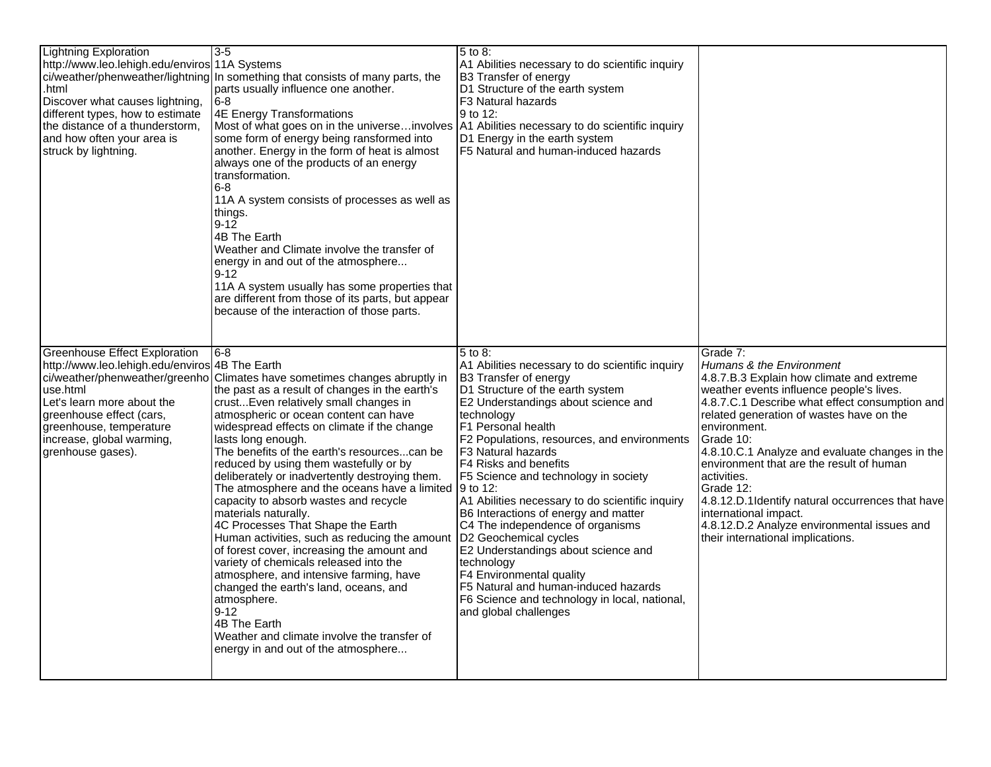| <b>Lightning Exploration</b><br>http://www.leo.lehigh.edu/enviros 11A Systems<br>.html<br>Discover what causes lightning,<br>different types, how to estimate<br>the distance of a thunderstorm,<br>and how often your area is<br>struck by lightning.                      | $3-5$<br>ci/weather/phenweather/lightning In something that consists of many parts, the<br>parts usually influence one another.<br>$6-8$<br>4E Energy Transformations<br>Most of what goes on in the universeinvolves<br>some form of energy being ransformed into<br>another. Energy in the form of heat is almost<br>always one of the products of an energy<br>transformation.<br>$6 - 8$<br>11A A system consists of processes as well as<br>things.<br>$9 - 12$<br>4B The Earth<br>Weather and Climate involve the transfer of<br>energy in and out of the atmosphere<br>$9 - 12$<br>11A A system usually has some properties that<br>are different from those of its parts, but appear<br>because of the interaction of those parts.                                                                                                                                                                                  | 5 to 8:<br>A1 Abilities necessary to do scientific inquiry<br>B3 Transfer of energy<br>D1 Structure of the earth system<br>F3 Natural hazards<br>9 to 12:<br>A1 Abilities necessary to do scientific inquiry<br>D1 Energy in the earth system<br>F5 Natural and human-induced hazards                                                                                                                                                                                                                                                                                                                                                                                                                           |                                                                                                                                                                                                                                                                                                                                                                                                                                                                                                                                                     |
|-----------------------------------------------------------------------------------------------------------------------------------------------------------------------------------------------------------------------------------------------------------------------------|-----------------------------------------------------------------------------------------------------------------------------------------------------------------------------------------------------------------------------------------------------------------------------------------------------------------------------------------------------------------------------------------------------------------------------------------------------------------------------------------------------------------------------------------------------------------------------------------------------------------------------------------------------------------------------------------------------------------------------------------------------------------------------------------------------------------------------------------------------------------------------------------------------------------------------|-----------------------------------------------------------------------------------------------------------------------------------------------------------------------------------------------------------------------------------------------------------------------------------------------------------------------------------------------------------------------------------------------------------------------------------------------------------------------------------------------------------------------------------------------------------------------------------------------------------------------------------------------------------------------------------------------------------------|-----------------------------------------------------------------------------------------------------------------------------------------------------------------------------------------------------------------------------------------------------------------------------------------------------------------------------------------------------------------------------------------------------------------------------------------------------------------------------------------------------------------------------------------------------|
| <b>Greenhouse Effect Exploration</b><br>http://www.leo.lehigh.edu/enviros 4B The Earth<br>ci/weather/phenweather/greenho<br>use.html<br>Let's learn more about the<br>greenhouse effect (cars,<br>greenhouse, temperature<br>increase, global warming,<br>grenhouse gases). | 6-8<br>Climates have sometimes changes abruptly in<br>the past as a result of changes in the earth's<br>crust Even relatively small changes in<br>atmospheric or ocean content can have<br>widespread effects on climate if the change<br>lasts long enough.<br>The benefits of the earth's resourcescan be<br>reduced by using them wastefully or by<br>deliberately or inadvertently destroying them.<br>The atmosphere and the oceans have a limited<br>capacity to absorb wastes and recycle<br>materials naturally.<br>4C Processes That Shape the Earth<br>Human activities, such as reducing the amount<br>of forest cover, increasing the amount and<br>variety of chemicals released into the<br>atmosphere, and intensive farming, have<br>changed the earth's land, oceans, and<br>atmosphere.<br>$9 - 12$<br>4B The Earth<br>Weather and climate involve the transfer of<br>energy in and out of the atmosphere | 5 to 8:<br>A1 Abilities necessary to do scientific inquiry<br>B3 Transfer of energy<br>D1 Structure of the earth system<br>E2 Understandings about science and<br>technology<br>F1 Personal health<br>F2 Populations, resources, and environments<br>F3 Natural hazards<br>F4 Risks and benefits<br>F5 Science and technology in society<br>9 to 12:<br>A1 Abilities necessary to do scientific inquiry<br>B6 Interactions of energy and matter<br>C4 The independence of organisms<br>D2 Geochemical cycles<br>E2 Understandings about science and<br>technology<br>F4 Environmental quality<br>F5 Natural and human-induced hazards<br>F6 Science and technology in local, national,<br>and global challenges | Grade 7:<br>Humans & the Environment<br>4.8.7.B.3 Explain how climate and extreme<br>weather events influence people's lives.<br>4.8.7.C.1 Describe what effect consumption and<br>related generation of wastes have on the<br>environment.<br>Grade 10:<br>4.8.10.C.1 Analyze and evaluate changes in the<br>environment that are the result of human<br>activities.<br>Grade 12:<br>4.8.12.D.1Identify natural occurrences that have<br>international impact.<br>4.8.12.D.2 Analyze environmental issues and<br>their international implications. |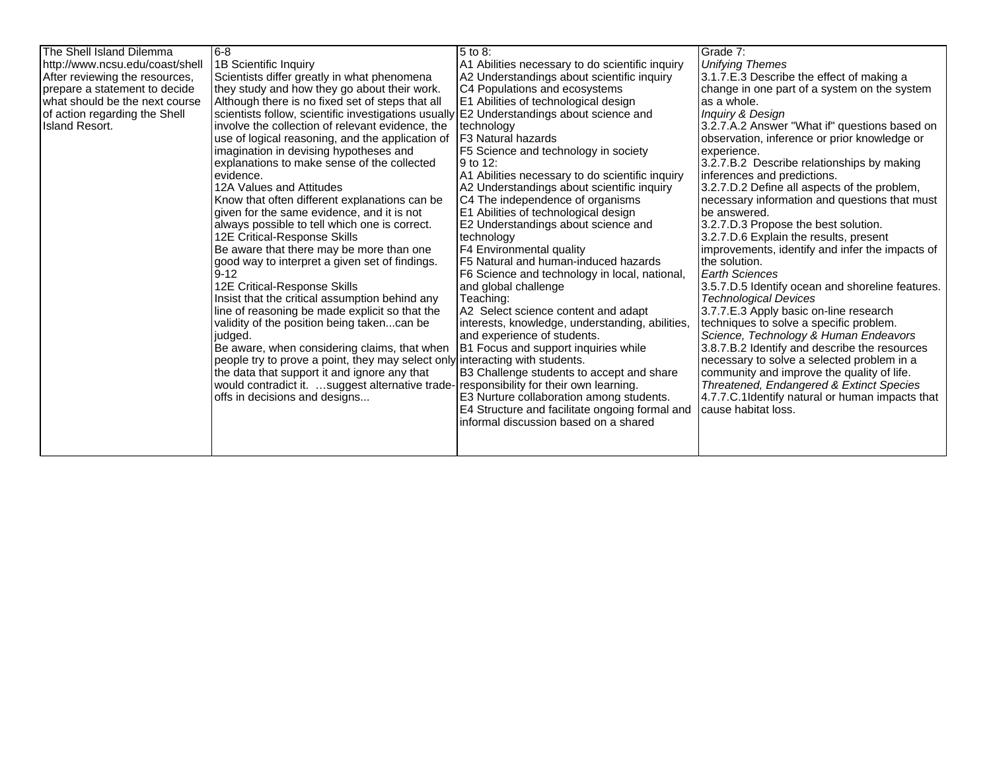| The Shell Island Dilemma<br>http://www.ncsu.edu/coast/shell<br>After reviewing the resources,<br>prepare a statement to decide<br>what should be the next course<br>of action regarding the Shell<br>Island Resort. | 8-6<br>1B Scientific Inquiry<br>Scientists differ greatly in what phenomena<br>they study and how they go about their work.<br>Although there is no fixed set of steps that all<br>scientists follow, scientific investigations usually E2 Understandings about science and<br>involve the collection of relevant evidence, the<br>use of logical reasoning, and the application of<br>imagination in devising hypotheses and<br>explanations to make sense of the collected<br>levidence.<br>12A Values and Attitudes<br>Know that often different explanations can be<br>given for the same evidence, and it is not<br>always possible to tell which one is correct.<br>12E Critical-Response Skills<br>Be aware that there may be more than one<br>good way to interpret a given set of findings.<br>$9 - 12$<br>12E Critical-Response Skills<br>Insist that the critical assumption behind any<br>line of reasoning be made explicit so that the<br>validity of the position being takencan be<br>judged.<br>Be aware, when considering claims, that when | 5 to 8:<br>A1 Abilities necessary to do scientific inquiry<br>A2 Understandings about scientific inquiry<br>C4 Populations and ecosystems<br>E1 Abilities of technological design<br>technology<br>F <sub>3</sub> Natural hazards<br>F5 Science and technology in society<br>9 to 12:<br>A1 Abilities necessary to do scientific inquiry<br>A2 Understandings about scientific inquiry<br>C4 The independence of organisms<br>E1 Abilities of technological design<br>E2 Understandings about science and<br>technology<br>F4 Environmental quality<br>F5 Natural and human-induced hazards<br>F6 Science and technology in local, national,<br>and global challenge<br>Teaching:<br>A2 Select science content and adapt<br>interests, knowledge, understanding, abilities,<br>and experience of students.<br>B1 Focus and support inquiries while | Grade 7:<br><b>Unifying Themes</b><br>3.1.7.E.3 Describe the effect of making a<br>change in one part of a system on the system<br>as a whole.<br><b>Inquiry &amp; Design</b><br>3.2.7.A.2 Answer "What if" questions based on<br>observation, inference or prior knowledge or<br>experience.<br>3.2.7.B.2 Describe relationships by making<br>inferences and predictions.<br>3.2.7.D.2 Define all aspects of the problem,<br>necessary information and questions that must<br>lbe answered.<br>3.2.7.D.3 Propose the best solution.<br>3.2.7.D.6 Explain the results, present<br>improvements, identify and infer the impacts of<br>the solution.<br>Earth Sciences<br>3.5.7.D.5 Identify ocean and shoreline features.<br><b>Technological Devices</b><br>3.7.7.E.3 Apply basic on-line research<br>techniques to solve a specific problem.<br>Science, Technology & Human Endeavors<br>3.8.7.B.2 Identify and describe the resources |
|---------------------------------------------------------------------------------------------------------------------------------------------------------------------------------------------------------------------|---------------------------------------------------------------------------------------------------------------------------------------------------------------------------------------------------------------------------------------------------------------------------------------------------------------------------------------------------------------------------------------------------------------------------------------------------------------------------------------------------------------------------------------------------------------------------------------------------------------------------------------------------------------------------------------------------------------------------------------------------------------------------------------------------------------------------------------------------------------------------------------------------------------------------------------------------------------------------------------------------------------------------------------------------------------|----------------------------------------------------------------------------------------------------------------------------------------------------------------------------------------------------------------------------------------------------------------------------------------------------------------------------------------------------------------------------------------------------------------------------------------------------------------------------------------------------------------------------------------------------------------------------------------------------------------------------------------------------------------------------------------------------------------------------------------------------------------------------------------------------------------------------------------------------|-----------------------------------------------------------------------------------------------------------------------------------------------------------------------------------------------------------------------------------------------------------------------------------------------------------------------------------------------------------------------------------------------------------------------------------------------------------------------------------------------------------------------------------------------------------------------------------------------------------------------------------------------------------------------------------------------------------------------------------------------------------------------------------------------------------------------------------------------------------------------------------------------------------------------------------------|
|                                                                                                                                                                                                                     | people try to prove a point, they may select only interacting with students.<br>the data that support it and ignore any that                                                                                                                                                                                                                                                                                                                                                                                                                                                                                                                                                                                                                                                                                                                                                                                                                                                                                                                                  | B3 Challenge students to accept and share                                                                                                                                                                                                                                                                                                                                                                                                                                                                                                                                                                                                                                                                                                                                                                                                          | necessary to solve a selected problem in a<br>community and improve the quality of life.                                                                                                                                                                                                                                                                                                                                                                                                                                                                                                                                                                                                                                                                                                                                                                                                                                                |
|                                                                                                                                                                                                                     | would contradict it. suggest alternative trade-<br>offs in decisions and designs                                                                                                                                                                                                                                                                                                                                                                                                                                                                                                                                                                                                                                                                                                                                                                                                                                                                                                                                                                              | responsibility for their own learning.<br>E3 Nurture collaboration among students.<br>E4 Structure and facilitate ongoing formal and<br>informal discussion based on a shared                                                                                                                                                                                                                                                                                                                                                                                                                                                                                                                                                                                                                                                                      | Threatened, Endangered & Extinct Species<br>4.7.7.C.1 Identify natural or human impacts that<br>cause habitat loss.                                                                                                                                                                                                                                                                                                                                                                                                                                                                                                                                                                                                                                                                                                                                                                                                                     |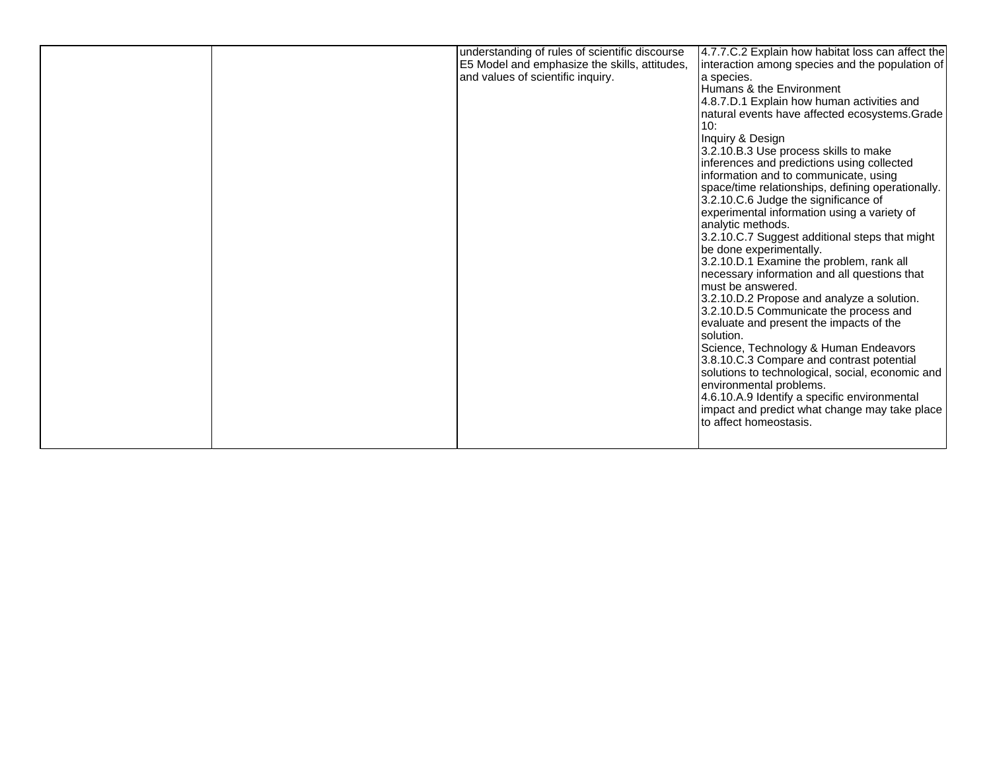|  | understanding of rules of scientific discourse<br>E5 Model and emphasize the skills, attitudes,<br>and values of scientific inquiry. | 4.7.7.C.2 Explain how habitat loss can affect the<br>interaction among species and the population of<br>a species.<br>Humans & the Environment<br>4.8.7.D.1 Explain how human activities and<br>natural events have affected ecosystems. Grade<br>10:<br>Inquiry & Design<br>3.2.10.B.3 Use process skills to make<br>inferences and predictions using collected<br>information and to communicate, using<br>space/time relationships, defining operationally.<br>3.2.10.C.6 Judge the significance of<br>experimental information using a variety of<br>analytic methods.<br>3.2.10.C.7 Suggest additional steps that might<br>be done experimentally.<br>3.2.10.D.1 Examine the problem, rank all<br>necessary information and all questions that<br>must be answered. |
|--|--------------------------------------------------------------------------------------------------------------------------------------|--------------------------------------------------------------------------------------------------------------------------------------------------------------------------------------------------------------------------------------------------------------------------------------------------------------------------------------------------------------------------------------------------------------------------------------------------------------------------------------------------------------------------------------------------------------------------------------------------------------------------------------------------------------------------------------------------------------------------------------------------------------------------|
|  |                                                                                                                                      | 3.2.10.D.2 Propose and analyze a solution.<br>3.2.10.D.5 Communicate the process and                                                                                                                                                                                                                                                                                                                                                                                                                                                                                                                                                                                                                                                                                     |
|  |                                                                                                                                      | evaluate and present the impacts of the<br>solution.<br>Science, Technology & Human Endeavors<br>3.8.10.C.3 Compare and contrast potential<br>solutions to technological, social, economic and<br>environmental problems.<br>4.6.10.A.9 Identify a specific environmental<br>impact and predict what change may take place<br>lto affect homeostasis.                                                                                                                                                                                                                                                                                                                                                                                                                    |